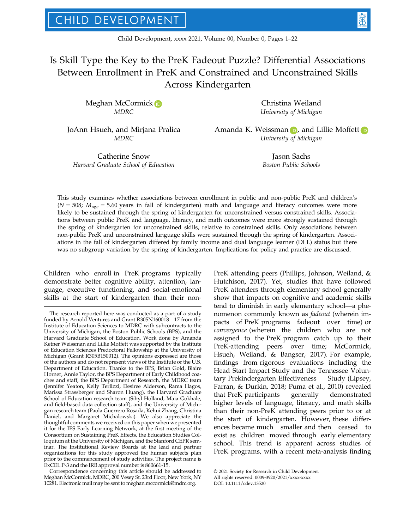# Is Skill Type the Key to the PreK Fadeout Puzzle? Differential Associations Between Enrollment in PreK and Constrained and Unconstrained Skills Across Kindergarten

Meghan McCormic[k](https://orcid.org/0000-0003-3844-6246) D MDRC

JoAnn Hsueh, and Mirjana Pralica MDRC

Catherine Snow Harvard Graduate School of Education

Christina Weiland University of Michigan

Ama[n](https://orcid.org/0000-0001-5381-4516)da K. Weissman  $\blacksquare$ , and Lillie Moffe[t](https://orcid.org/0000-0003-1233-5185)t  $\blacksquare$ University of Michigan

> Jason Sachs Boston Public Schools

This study examines whether associations between enrollment in public and non-public PreK and children's  $(N = 508; M<sub>age</sub> = 5.60 years$  in fall of kindergarten) math and language and literacy outcomes were more likely to be sustained through the spring of kindergarten for unconstrained versus constrained skills. Associations between public PreK and language, literacy, and math outcomes were more strongly sustained through the spring of kindergarten for unconstrained skills, relative to constrained skills. Only associations between non-public PreK and unconstrained language skills were sustained through the spring of kindergarten. Associations in the fall of kindergarten differed by family income and dual language learner (DLL) status but there was no subgroup variation by the spring of kindergarten. Implications for policy and practice are discussed.

Children who enroll in PreK programs typically demonstrate better cognitive ability, attention, language, executive functioning, and social-emotional skills at the start of kindergarten than their non-

Correspondence concerning this article should be addressed to Meghan McCormick, MDRC, 200 Vesey St. 23rd Floor, New York, NY 10281. Electronic mail may be sent to [meghan.mccormick@mdrc.org](mailto:).

PreK attending peers (Phillips, Johnson, Weiland, & Hutchison, 2017). Yet, studies that have followed PreK attenders through elementary school generally show that impacts on cognitive and academic skills tend to diminish in early elementary school—a phenomenon commonly known as fadeout (wherein impacts of PreK programs fadeout over time) or convergence (wherein the children who are not assigned to the PreK program catch up to their PreK-attending peers over time; McCormick, Hsueh, Weiland, & Bangser, 2017). For example, findings from rigorous evaluations including the Head Start Impact Study and the Tennessee Voluntary Prekindergarten Effectiveness Study (Lipsey, Farran, & Durkin, 2018; Puma et al., 2010) revealed that PreK participants generally demonstrated higher levels of language, literacy, and math skills than their non-PreK attending peers prior to or at the start of kindergarten. However, these differences became much smaller and then ceased to exist as children moved through early elementary school. This trend is apparent across studies of PreK programs, with a recent meta-analysis finding

The research reported here was conducted as a part of a study funded by Arnold Ventures and Grant R305N160018—17 from the Institute of Education Sciences to MDRC with subcontracts to the University of Michigan, the Boston Public Schools (BPS), and the Harvard Graduate School of Education. Work done by Amanda Ketner Weissman and Lillie Moffett was supported by the Institute of Education Sciences Predoctoral Fellowship at the University of Michigan (Grant R305B150012). The opinions expressed are those of the authors and do not represent views of the Institute or the U.S. Department of Education. Thanks to the BPS, Brian Gold, Blaire Horner, Annie Taylor, the BPS Department of Early Childhood coaches and staff, the BPS Department of Research, the MDRC team (Jennifer Yeaton, Kelly Terlizzi, Desiree Alderson, Rama Hagos, Marissa Strassberger and Sharon Huang), the Harvard Graduate School of Education research team (Sibyl Holland, Maia Gokhale, and field-based data collection staff), and the University of Michigan research team (Paola Guerrero Rosada, Kehui Zhang, Christina Daniel, and Margaret Michalowski). We also appreciate the thoughtful comments we received on this paper when we presented it for the IES Early Learning Network, at the first meeting of the Consortium on Sustaining PreK Effects, the Education Studies Colloquium at the University of Michigan, and the Stanford CEPR seminar. The Institutional Review Boards at the lead and partner organizations for this study approved the human subjects plan prior to the commencement of study activities. The project name is ExCEL P-3 and the IRB approval number is 860661-15.

<sup>©</sup> 2021 Society for Research in Child Development All rights reserved. 0009-3920/2021/xxxx-xxxx DOI: 10.1111/cdev.13520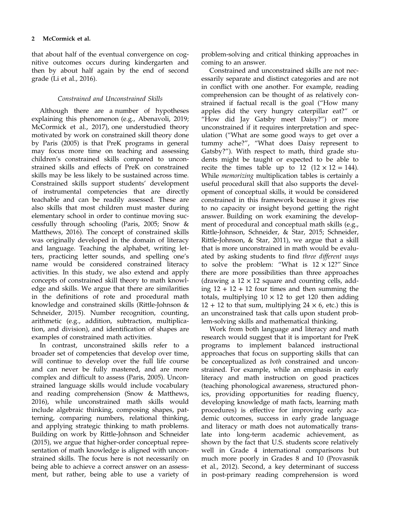that about half of the eventual convergence on cognitive outcomes occurs during kindergarten and then by about half again by the end of second grade (Li et al., 2016).

### Constrained and Unconstrained Skills

Although there are a number of hypotheses explaining this phenomenon (e.g., Abenavoli, 2019; McCormick et al., 2017), one understudied theory motivated by work on constrained skill theory done by Paris (2005) is that PreK programs in general may focus more time on teaching and assessing children's constrained skills compared to unconstrained skills and effects of PreK on constrained skills may be less likely to be sustained across time. Constrained skills support students' development of instrumental competencies that are directly teachable and can be readily assessed. These are also skills that most children must master during elementary school in order to continue moving successfully through schooling (Paris, 2005; Snow & Matthews, 2016). The concept of constrained skills was originally developed in the domain of literacy and language. Teaching the alphabet, writing letters, practicing letter sounds, and spelling one's name would be considered constrained literacy activities. In this study, we also extend and apply concepts of constrained skill theory to math knowledge and skills. We argue that there are similarities in the definitions of rote and procedural math knowledge and constrained skills (Rittle-Johnson & Schneider, 2015). Number recognition, counting, arithmetic (e.g., addition, subtraction, multiplication, and division), and identification of shapes are examples of constrained math activities.

In contrast, unconstrained skills refer to a broader set of competencies that develop over time, will continue to develop over the full life course and can never be fully mastered, and are more complex and difficult to assess (Paris, 2005). Unconstrained language skills would include vocabulary and reading comprehension (Snow & Matthews, 2016), while unconstrained math skills would include algebraic thinking, composing shapes, patterning, comparing numbers, relational thinking, and applying strategic thinking to math problems. Building on work by Rittle-Johnson and Schneider (2015), we argue that higher-order conceptual representation of math knowledge is aligned with unconstrained skills. The focus here is not necessarily on being able to achieve a correct answer on an assessment, but rather, being able to use a variety of problem-solving and critical thinking approaches in coming to an answer.

Constrained and unconstrained skills are not necessarily separate and distinct categories and are not in conflict with one another. For example, reading comprehension can be thought of as relatively constrained if factual recall is the goal ("How many apples did the very hungry caterpillar eat?" or "How did Jay Gatsby meet Daisy?") or more unconstrained if it requires interpretation and speculation ("What are some good ways to get over a tummy ache?", "What does Daisy represent to Gatsby?"). With respect to math, third grade students might be taught or expected to be able to recite the times table up to  $12$   $(12 \times 12 = 144)$ . While memorizing multiplication tables is certainly a useful procedural skill that also supports the development of conceptual skills, it would be considered constrained in this framework because it gives rise to no capacity or insight beyond getting the right answer. Building on work examining the development of procedural and conceptual math skills (e.g., Rittle-Johnson, Schneider, & Star, 2015; Schneider, Rittle-Johnson, & Star, 2011), we argue that a skill that is more unconstrained in math would be evaluated by asking students to find three different ways to solve the problem: "What is  $12 \times 12$ ?" Since there are more possibilities than three approaches (drawing a  $12 \times 12$  square and counting cells, adding  $12 + 12 + 12$  four times and then summing the totals, multiplying  $10 \times 12$  to get 120 then adding  $12 + 12$  to that sum, multiplying  $24 \times 6$ , etc.) this is an unconstrained task that calls upon student problem-solving skills and mathematical thinking.

Work from both language and literacy and math research would suggest that it is important for PreK programs to implement balanced instructional approaches that focus on supporting skills that can be conceptualized as both constrained and unconstrained. For example, while an emphasis in early literacy and math instruction on good practices (teaching phonological awareness, structured phonics, providing opportunities for reading fluency, developing knowledge of math facts, learning math procedures) is effective for improving early academic outcomes, success in early grade language and literacy or math does not automatically translate into long-term academic achievement, as shown by the fact that U.S. students score relatively well in Grade 4 international comparisons but much more poorly in Grades 8 and 10 (Provasnik et al., 2012). Second, a key determinant of success in post-primary reading comprehension is word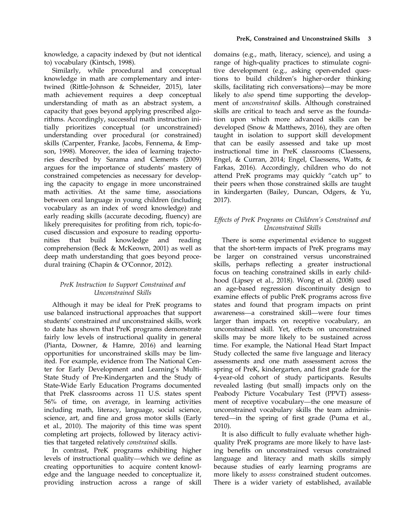knowledge, a capacity indexed by (but not identical to) vocabulary (Kintsch, 1998).

Similarly, while procedural and conceptual knowledge in math are complementary and intertwined (Rittle-Johnson & Schneider, 2015), later math achievement requires a deep conceptual understanding of math as an abstract system, a capacity that goes beyond applying prescribed algorithms. Accordingly, successful math instruction initially prioritizes conceptual (or unconstrained) understanding over procedural (or constrained) skills (Carpenter, Franke, Jacobs, Fennema, & Empson, 1998). Moreover, the idea of learning trajectories described by Sarama and Clements (2009) argues for the importance of students' mastery of constrained competencies as necessary for developing the capacity to engage in more unconstrained math activities. At the same time, associations between oral language in young children (including vocabulary as an index of word knowledge) and early reading skills (accurate decoding, fluency) are likely prerequisites for profiting from rich, topic-focused discussion and exposure to reading opportunities that build knowledge and reading comprehension (Beck & McKeown, 2001) as well as deep math understanding that goes beyond procedural training (Chapin & O'Connor, 2012).

### PreK Instruction to Support Constrained and Unconstrained Skills

Although it may be ideal for PreK programs to use balanced instructional approaches that support students' constrained and unconstrained skills, work to date has shown that PreK programs demonstrate fairly low levels of instructional quality in general (Pianta, Downer, & Hamre, 2016) and learning opportunities for unconstrained skills may be limited. For example, evidence from The National Center for Early Development and Learning's Multi-State Study of Pre-Kindergarten and the Study of State-Wide Early Education Programs documented that PreK classrooms across 11 U.S. states spent 56% of time, on average, in learning activities including math, literacy, language, social science, science, art, and fine and gross motor skills (Early et al., 2010). The majority of this time was spent completing art projects, followed by literacy activities that targeted relatively constrained skills.

In contrast, PreK programs exhibiting higher levels of instructional quality—which we define as creating opportunities to acquire content knowledge and the language needed to conceptualize it, providing instruction across a range of skill

domains (e.g., math, literacy, science), and using a range of high-quality practices to stimulate cognitive development (e.g., asking open-ended questions to build children's higher-order thinking skills, facilitating rich conversations)—may be more likely to also spend time supporting the development of unconstrained skills. Although constrained skills are critical to teach and serve as the foundation upon which more advanced skills can be developed (Snow & Matthews, 2016), they are often taught in isolation to support skill development that can be easily assessed and take up most instructional time in PreK classrooms (Claessens, Engel, & Curran, 2014; Engel, Claessens, Watts, & Farkas, 2016). Accordingly, children who do not attend PreK programs may quickly "catch up" to their peers when those constrained skills are taught in kindergarten (Bailey, Duncan, Odgers, & Yu, 2017).

### Effects of PreK Programs on Children's Constrained and Unconstrained Skills

There is some experimental evidence to suggest that the short-term impacts of PreK programs may be larger on constrained versus unconstrained skills, perhaps reflecting a greater instructional focus on teaching constrained skills in early childhood (Lipsey et al., 2018). Wong et al. (2008) used an age-based regression discontinuity design to examine effects of public PreK programs across five states and found that program impacts on print awareness—a constrained skill—were four times larger than impacts on receptive vocabulary, an unconstrained skill. Yet, effects on unconstrained skills may be more likely to be sustained across time. For example, the National Head Start Impact Study collected the same five language and literacy assessments and one math assessment across the spring of PreK, kindergarten, and first grade for the 4-year-old cohort of study participants. Results revealed lasting (but small) impacts only on the Peabody Picture Vocabulary Test (PPVT) assessment of receptive vocabulary—the one measure of unconstrained vocabulary skills the team administered—in the spring of first grade (Puma et al., 2010).

It is also difficult to fully evaluate whether highquality PreK programs are more likely to have lasting benefits on unconstrained versus constrained language and literacy and math skills simply because studies of early learning programs are more likely to assess constrained student outcomes. There is a wider variety of established, available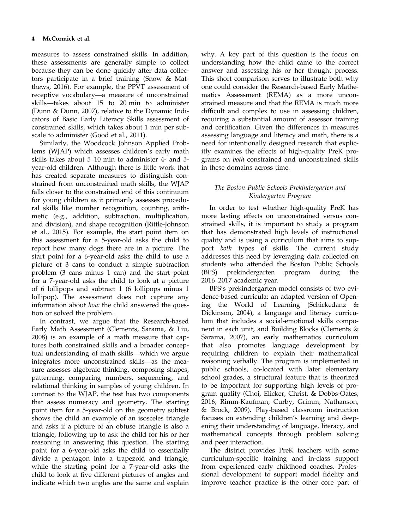measures to assess constrained skills. In addition, these assessments are generally simple to collect because they can be done quickly after data collectors participate in a brief training (Snow & Matthews, 2016). For example, the PPVT assessment of receptive vocabulary—a measure of unconstrained skills—takes about 15 to 20 min to administer (Dunn & Dunn, 2007), relative to the Dynamic Indicators of Basic Early Literacy Skills assessment of constrained skills, which takes about 1 min per subscale to administer (Good et al., 2011).

Similarly, the Woodcock Johnson Applied Problems (WJAP) which assesses children's early math skills takes about 5–10 min to administer 4- and 5 year-old children. Although there is little work that has created separate measures to distinguish constrained from unconstrained math skills, the WJAP falls closer to the constrained end of this continuum for young children as it primarily assesses procedural skills like number recognition, counting, arithmetic (e.g., addition, subtraction, multiplication, and division), and shape recognition (Rittle-Johnson et al., 2015). For example, the start point item on this assessment for a 5-year-old asks the child to report how many dogs there are in a picture. The start point for a 6-year-old asks the child to use a picture of 3 cans to conduct a simple subtraction problem (3 cans minus 1 can) and the start point for a 7-year-old asks the child to look at a picture of 6 lollipops and subtract 1 (6 lollipops minus 1 lollipop). The assessment does not capture any information about how the child answered the question or solved the problem.

In contrast, we argue that the Research-based Early Math Assessment (Clements, Sarama, & Liu, 2008) is an example of a math measure that captures both constrained skills and a broader conceptual understanding of math skills—which we argue integrates more unconstrained skills—as the measure assesses algebraic thinking, composing shapes, patterning, comparing numbers, sequencing, and relational thinking in samples of young children. In contrast to the WJAP, the test has two components that assess numeracy and geometry. The starting point item for a 5-year-old on the geometry subtest shows the child an example of an isosceles triangle and asks if a picture of an obtuse triangle is also a triangle, following up to ask the child for his or her reasoning in answering this question. The starting point for a 6-year-old asks the child to essentially divide a pentagon into a trapezoid and triangle, while the starting point for a 7-year-old asks the child to look at five different pictures of angles and indicate which two angles are the same and explain

why. A key part of this question is the focus on understanding how the child came to the correct answer and assessing his or her thought process. This short comparison serves to illustrate both why one could consider the Research-based Early Mathematics Assessment (REMA) as a more unconstrained measure and that the REMA is much more difficult and complex to use in assessing children, requiring a substantial amount of assessor training and certification. Given the differences in measures assessing language and literacy and math, there is a need for intentionally designed research that explicitly examines the effects of high-quality PreK programs on both constrained and unconstrained skills in these domains across time.

### The Boston Public Schools Prekindergarten and Kindergarten Program

In order to test whether high-quality PreK has more lasting effects on unconstrained versus constrained skills, it is important to study a program that has demonstrated high levels of instructional quality and is using a curriculum that aims to support both types of skills. The current study addresses this need by leveraging data collected on students who attended the Boston Public Schools (BPS) prekindergarten program during the 2016–2017 academic year.

BPS's prekindergarten model consists of two evidence-based curricula: an adapted version of Opening the World of Learning (Schickedanz & Dickinson, 2004), a language and literacy curriculum that includes a social-emotional skills component in each unit, and Building Blocks (Clements & Sarama, 2007), an early mathematics curriculum that also promotes language development by requiring children to explain their mathematical reasoning verbally. The program is implemented in public schools, co-located with later elementary school grades, a structural feature that is theorized to be important for supporting high levels of program quality (Choi, Elicker, Christ, & Dobbs-Oates, 2016; Rimm-Kaufman, Curby, Grimm, Nathanson, & Brock, 2009). Play-based classroom instruction focuses on extending children's learning and deepening their understanding of language, literacy, and mathematical concepts through problem solving and peer interaction.

The district provides PreK teachers with some curriculum-specific training and in-class support from experienced early childhood coaches. Professional development to support model fidelity and improve teacher practice is the other core part of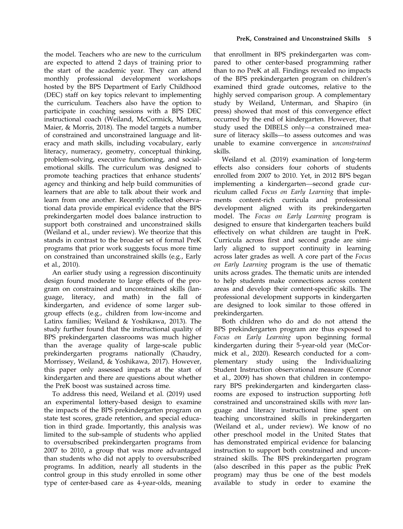the model. Teachers who are new to the curriculum are expected to attend 2 days of training prior to the start of the academic year. They can attend monthly professional development workshops hosted by the BPS Department of Early Childhood (DEC) staff on key topics relevant to implementing the curriculum. Teachers also have the option to participate in coaching sessions with a BPS DEC instructional coach (Weiland, McCormick, Mattera, Maier, & Morris, 2018). The model targets a number of constrained and unconstrained language and literacy and math skills, including vocabulary, early literacy, numeracy, geometry, conceptual thinking, problem-solving, executive functioning, and socialemotional skills. The curriculum was designed to promote teaching practices that enhance students' agency and thinking and help build communities of learners that are able to talk about their work and learn from one another. Recently collected observational data provide empirical evidence that the BPS prekindergarten model does balance instruction to support both constrained and unconstrained skills (Weiland et al., under review). We theorize that this stands in contrast to the broader set of formal PreK programs that prior work suggests focus more time on constrained than unconstrained skills (e.g., Early et al., 2010).

An earlier study using a regression discontinuity design found moderate to large effects of the program on constrained and unconstrained skills (language, literacy, and math) in the fall of kindergarten, and evidence of some larger subgroup effects (e.g., children from low-income and Latinx families; Weiland & Yoshikawa, 2013). The study further found that the instructional quality of BPS prekindergarten classrooms was much higher than the average quality of large-scale public prekindergarten programs nationally (Chaudry, Morrissey, Weiland, & Yoshikawa, 2017). However, this paper only assessed impacts at the start of kindergarten and there are questions about whether the PreK boost was sustained across time.

To address this need, Weiland et al. (2019) used an experimental lottery-based design to examine the impacts of the BPS prekindergarten program on state test scores, grade retention, and special education in third grade. Importantly, this analysis was limited to the sub-sample of students who applied to oversubscribed prekindergarten programs from 2007 to 2010, a group that was more advantaged than students who did not apply to oversubscribed programs. In addition, nearly all students in the control group in this study enrolled in some other type of center-based care as 4-year-olds, meaning

that enrollment in BPS prekindergarten was compared to other center-based programming rather than to no PreK at all. Findings revealed no impacts of the BPS prekindergarten program on children's examined third grade outcomes, relative to the highly served comparison group. A complementary study by Weiland, Unterman, and Shapiro (in press) showed that most of this convergence effect occurred by the end of kindergarten. However, that study used the DIBELS only—a constrained measure of literacy skills—to assess outcomes and was unable to examine convergence in unconstrained skills.

Weiland et al. (2019) examination of long-term effects also considers four cohorts of students enrolled from 2007 to 2010. Yet, in 2012 BPS began implementing a kindergarten—second grade curriculum called Focus on Early Learning that implements content-rich curricula and professional development aligned with its prekindergarten model. The Focus on Early Learning program is designed to ensure that kindergarten teachers build effectively on what children are taught in PreK. Curricula across first and second grade are similarly aligned to support continuity in learning across later grades as well. A core part of the Focus on Early Learning program is the use of thematic units across grades. The thematic units are intended to help students make connections across content areas and develop their content-specific skills. The professional development supports in kindergarten are designed to look similar to those offered in prekindergarten.

Both children who do and do not attend the BPS prekindergarten program are thus exposed to Focus on Early Learning upon beginning formal kindergarten during their 5-year-old year (McCormick et al., 2020). Research conducted for a complementary study using the Individualizing Student Instruction observational measure (Connor et al., 2009) has shown that children in contemporary BPS prekindergarten and kindergarten classrooms are exposed to instruction supporting both constrained and unconstrained skills with more language and literacy instructional time spent on teaching unconstrained skills in prekindergarten (Weiland et al., under review). We know of no other preschool model in the United States that has demonstrated empirical evidence for balancing instruction to support both constrained and unconstrained skills. The BPS prekindergarten program (also described in this paper as the public PreK program) may thus be one of the best models available to study in order to examine the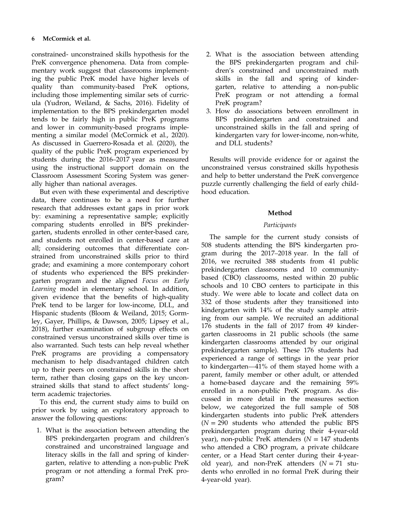constrained- unconstrained skills hypothesis for the PreK convergence phenomena. Data from complementary work suggest that classrooms implementing the public PreK model have higher levels of quality than community-based PreK options, including those implementing similar sets of curricula (Yudron, Weiland, & Sachs, 2016). Fidelity of implementation to the BPS prekindergarten model tends to be fairly high in public PreK programs and lower in community-based programs implementing a similar model (McCormick et al., 2020). As discussed in Guerrero-Rosada et al. (2020), the quality of the public PreK program experienced by students during the 2016–2017 year as measured using the instructional support domain on the Classroom Assessment Scoring System was generally higher than national averages.

But even with these experimental and descriptive data, there continues to be a need for further research that addresses extant gaps in prior work by: examining a representative sample; explicitly comparing students enrolled in BPS prekindergarten, students enrolled in other center-based care, and students not enrolled in center-based care at all; considering outcomes that differentiate constrained from unconstrained skills prior to third grade; and examining a more contemporary cohort of students who experienced the BPS prekindergarten program and the aligned Focus on Early Learning model in elementary school. In addition, given evidence that the benefits of high-quality PreK tend to be larger for low-income, DLL, and Hispanic students (Bloom & Weiland, 2015; Gormley, Gayer, Phillips, & Dawson, 2005; Lipsey et al., 2018), further examination of subgroup effects on constrained versus unconstrained skills over time is also warranted. Such tests can help reveal whether PreK programs are providing a compensatory mechanism to help disadvantaged children catch up to their peers on constrained skills in the short term, rather than closing gaps on the key unconstrained skills that stand to affect students' longterm academic trajectories.

To this end, the current study aims to build on prior work by using an exploratory approach to answer the following questions:

1. What is the association between attending the BPS prekindergarten program and children's constrained and unconstrained language and literacy skills in the fall and spring of kindergarten, relative to attending a non-public PreK program or not attending a formal PreK program?

- 2. What is the association between attending the BPS prekindergarten program and children's constrained and unconstrained math skills in the fall and spring of kindergarten, relative to attending a non-public PreK program or not attending a formal PreK program?
- 3. How do associations between enrollment in BPS prekindergarten and constrained and unconstrained skills in the fall and spring of kindergarten vary for lower-income, non-white, and DLL students?

Results will provide evidence for or against the unconstrained versus constrained skills hypothesis and help to better understand the PreK convergence puzzle currently challenging the field of early childhood education.

### Method

### Participants

The sample for the current study consists of 508 students attending the BPS kindergarten program during the 2017–2018 year. In the fall of 2016, we recruited 388 students from 41 public prekindergarten classrooms and 10 communitybased (CBO) classrooms, nested within 20 public schools and 10 CBO centers to participate in this study. We were able to locate and collect data on 332 of those students after they transitioned into kindergarten with 14% of the study sample attriting from our sample. We recruited an additional 176 students in the fall of 2017 from 49 kindergarten classrooms in 21 public schools (the same kindergarten classrooms attended by our original prekindergarten sample). These 176 students had experienced a range of settings in the year prior to kindergarten—41% of them stayed home with a parent, family member or other adult, or attended a home-based daycare and the remaining 59% enrolled in a non-public PreK program. As discussed in more detail in the measures section below, we categorized the full sample of 508 kindergarten students into public PreK attenders  $(N = 290$  students who attended the public BPS prekindergarten program during their 4-year-old year), non-public PreK attenders ( $N = 147$  students who attended a CBO program, a private childcare center, or a Head Start center during their 4-yearold year), and non-PreK attenders  $(N = 71$  students who enrolled in no formal PreK during their 4-year-old year).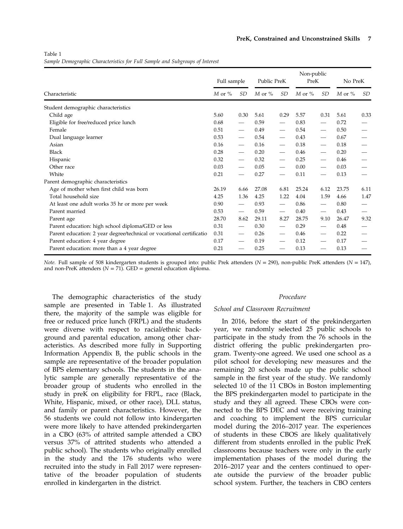Table 1 Sample Demographic Characteristics for Full Sample and Subgroups of Interest

|                                                                      | Full sample |                          | Public PreK |                               | Non-public<br>PreK |                               | No PreK    |           |
|----------------------------------------------------------------------|-------------|--------------------------|-------------|-------------------------------|--------------------|-------------------------------|------------|-----------|
| Characteristic                                                       | $M$ or $%$  | SD                       | $M$ or $\%$ | SD                            | $M$ or $%$         | SD                            | $M$ or $%$ | <i>SD</i> |
| Student demographic characteristics                                  |             |                          |             |                               |                    |                               |            |           |
| Child age                                                            | 5.60        | 0.30                     | 5.61        | 0.29                          | 5.57               | 0.31                          | 5.61       | 0.33      |
| Eligible for free/reduced price lunch                                | 0.68        | $\overline{\phantom{0}}$ | 0.59        |                               | 0.83               |                               | 0.72       |           |
| Female                                                               | 0.51        |                          | 0.49        | $\qquad \qquad$               | 0.54               |                               | 0.50       |           |
| Dual language learner                                                | 0.53        |                          | 0.54        | $\hspace{0.05cm}$             | 0.43               |                               | 0.67       |           |
| Asian                                                                | 0.16        |                          | 0.16        | $\qquad \qquad$               | 0.18               |                               | 0.18       |           |
| Black                                                                | 0.28        |                          | 0.20        |                               | 0.46               |                               | 0.20       |           |
| Hispanic                                                             | 0.32        |                          | 0.32        | $\overline{\phantom{0}}$      | 0.25               |                               | 0.46       |           |
| Other race                                                           | 0.03        |                          | 0.05        | $\overline{\phantom{0}}$      | 0.00               | $\overbrace{\phantom{aaaaa}}$ | 0.03       |           |
| White                                                                | 0.21        |                          | 0.27        |                               | 0.11               |                               | 0.13       |           |
| Parent demographic characteristics                                   |             |                          |             |                               |                    |                               |            |           |
| Age of mother when first child was born                              | 26.19       | 6.66                     | 27.08       | 6.81                          | 25.24              | 6.12                          | 23.75      | 6.11      |
| Total household size                                                 | 4.25        | 1.36                     | 4.25        | 1.22                          | 4.04               | 1.59                          | 4.66       | 1.47      |
| At least one adult works 35 hr or more per week                      | 0.90        | $\overline{\phantom{0}}$ | 0.93        |                               | 0.86               |                               | 0.80       |           |
| Parent married                                                       | 0.53        | $\overline{\phantom{0}}$ | 0.59        | $\overline{\phantom{0}}$      | 0.40               | $\overline{\phantom{0}}$      | 0.43       |           |
| Parent age                                                           | 28.70       | 8.62                     | 29.11       | 8.27                          | 28.75              | 9.10                          | 26.47      | 9.32      |
| Parent education: high school diploma/GED or less                    | 0.31        | $\overline{\phantom{0}}$ | 0.30        |                               | 0.29               |                               | 0.48       |           |
| Parent education: 2 year degree/technical or vocational certificatio | 0.31        |                          | 0.26        |                               | 0.46               |                               | 0.22       |           |
| Parent education: 4 year degree                                      | 0.17        |                          | 0.19        | $\overbrace{\phantom{12333}}$ | 0.12               |                               | 0.17       |           |
| Parent education: more than a 4 year degree                          | 0.21        |                          | 0.25        |                               | 0.13               |                               | 0.13       |           |

Note. Full sample of 508 kindergarten students is grouped into: public Prek attenders ( $N = 290$ ), non-public PreK attenders ( $N = 147$ ), and non-PreK attenders  $(N = 71)$ . GED = general education diploma.

The demographic characteristics of the study sample are presented in Table 1. As illustrated there, the majority of the sample was eligible for free or reduced price lunch (FRPL) and the students were diverse with respect to racial/ethnic background and parental education, among other characteristics. As described more fully in Supporting Information Appendix B, the public schools in the sample are representative of the broader population of BPS elementary schools. The students in the analytic sample are generally representative of the broader group of students who enrolled in the study in preK on eligibility for FRPL, race (Black, White, Hispanic, mixed, or other race), DLL status, and family or parent characteristics. However, the 56 students we could not follow into kindergarten were more likely to have attended prekindergarten in a CBO (63% of attrited sample attended a CBO versus 37% of attrited students who attended a public school). The students who originally enrolled in the study and the 176 students who were recruited into the study in Fall 2017 were representative of the broader population of students enrolled in kindergarten in the district.

#### Procedure

#### School and Classroom Recruitment

In 2016, before the start of the prekindergarten year, we randomly selected 25 public schools to participate in the study from the 76 schools in the district offering the public prekindergarten program. Twenty-one agreed. We used one school as a pilot school for developing new measures and the remaining 20 schools made up the public school sample in the first year of the study. We randomly selected 10 of the 11 CBOs in Boston implementing the BPS prekindergarten model to participate in the study and they all agreed. These CBOs were connected to the BPS DEC and were receiving training and coaching to implement the BPS curricular model during the 2016–2017 year. The experiences of students in these CBOS are likely qualitatively different from students enrolled in the public PreK classrooms because teachers were only in the early implementation phases of the model during the 2016–2017 year and the centers continued to operate outside the purview of the broader public school system. Further, the teachers in CBO centers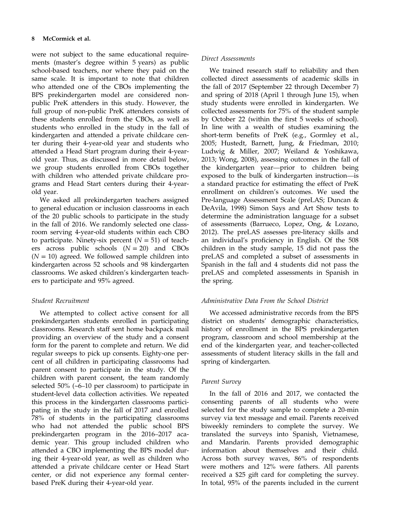were not subject to the same educational requirements (master's degree within 5 years) as public school-based teachers, nor where they paid on the same scale. It is important to note that children who attended one of the CBOs implementing the BPS prekindergarten model are considered nonpublic PreK attenders in this study. However, the full group of non-public PreK attenders consists of these students enrolled from the CBOs, as well as students who enrolled in the study in the fall of kindergarten and attended a private childcare center during their 4-year-old year and students who attended a Head Start program during their 4-yearold year. Thus, as discussed in more detail below, we group students enrolled from CBOs together with children who attended private childcare programs and Head Start centers during their 4-yearold year.

We asked all prekindergarten teachers assigned to general education or inclusion classrooms in each of the 20 public schools to participate in the study in the fall of 2016. We randomly selected one classroom serving 4-year-old students within each CBO to participate. Ninety-six percent  $(N = 51)$  of teachers across public schools  $(N = 20)$  and CBOs  $(N = 10)$  agreed. We followed sample children into kindergarten across 52 schools and 98 kindergarten classrooms. We asked children's kindergarten teachers to participate and 95% agreed.

### Student Recruitment

We attempted to collect active consent for all prekindergarten students enrolled in participating classrooms. Research staff sent home backpack mail providing an overview of the study and a consent form for the parent to complete and return. We did regular sweeps to pick up consents. Eighty-one percent of all children in participating classrooms had parent consent to participate in the study. Of the children with parent consent, the team randomly selected 50% (~6–10 per classroom) to participate in student-level data collection activities. We repeated this process in the kindergarten classrooms participating in the study in the fall of 2017 and enrolled 78% of students in the participating classrooms who had not attended the public school BPS prekindergarten program in the 2016–2017 academic year. This group included children who attended a CBO implementing the BPS model during their 4-year-old year, as well as children who attended a private childcare center or Head Start center, or did not experience any formal centerbased PreK during their 4-year-old year.

### Direct Assessments

We trained research staff to reliability and then collected direct assessments of academic skills in the fall of 2017 (September 22 through December 7) and spring of 2018 (April 1 through June 15), when study students were enrolled in kindergarten. We collected assessments for 75% of the student sample by October 22 (within the first 5 weeks of school). In line with a wealth of studies examining the short-term benefits of PreK (e.g., Gormley et al., 2005; Hustedt, Barnett, Jung, & Friedman, 2010; Ludwig & Miller, 2007; Weiland & Yoshikawa, 2013; Wong, 2008), assessing outcomes in the fall of the kindergarten year—prior to children being exposed to the bulk of kindergarten instruction—is a standard practice for estimating the effect of PreK enrollment on children's outcomes. We used the Pre-language Assessment Scale (preLAS; Duncan & DeAvila, 1998) Simon Says and Art Show tests to determine the administration language for a subset of assessments (Barrueco, Lopez, Ong, & Lozano, 2012). The preLAS assesses pre-literacy skills and an individual's proficiency in English. Of the 508 children in the study sample, 15 did not pass the preLAS and completed a subset of assessments in Spanish in the fall and 4 students did not pass the preLAS and completed assessments in Spanish in the spring.

### Administrative Data From the School District

We accessed administrative records from the BPS district on students' demographic characteristics, history of enrollment in the BPS prekindergarten program, classroom and school membership at the end of the kindergarten year, and teacher-collected assessments of student literacy skills in the fall and spring of kindergarten.

### Parent Survey

In the fall of 2016 and 2017, we contacted the consenting parents of all students who were selected for the study sample to complete a 20-min survey via text message and email. Parents received biweekly reminders to complete the survey. We translated the surveys into Spanish, Vietnamese, and Mandarin. Parents provided demographic information about themselves and their child. Across both survey waves, 86% of respondents were mothers and 12% were fathers. All parents received a \$25 gift card for completing the survey. In total, 95% of the parents included in the current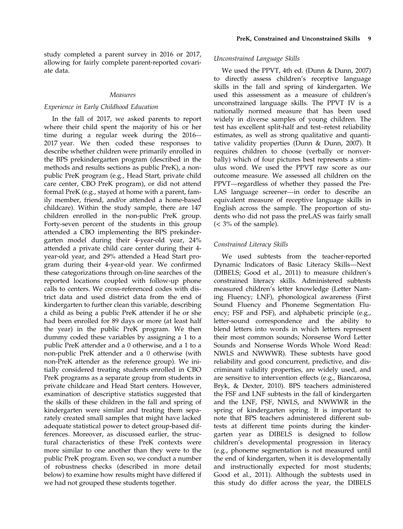study completed a parent survey in 2016 or 2017, allowing for fairly complete parent-reported covariate data.

#### Measures

#### Experience in Early Childhood Education

In the fall of 2017, we asked parents to report where their child spent the majority of his or her time during a regular week during the 2016–- 2017 year. We then coded these responses to describe whether children were primarily enrolled in the BPS prekindergarten program (described in the methods and results sections as public PreK), a nonpublic PreK program (e.g., Head Start, private child care center, CBO PreK program), or did not attend formal PreK (e.g., stayed at home with a parent, family member, friend, and/or attended a home-based childcare). Within the study sample, there are 147 children enrolled in the non-public PreK group. Forty-seven percent of the students in this group attended a CBO implementing the BPS prekindergarten model during their 4-year-old year, 24% attended a private child care center during their 4 year-old year, and 29% attended a Head Start program during their 4-year-old year. We confirmed these categorizations through on-line searches of the reported locations coupled with follow-up phone calls to centers. We cross-referenced codes with district data and used district data from the end of kindergarten to further clean this variable, describing a child as being a public PreK attender if he or she had been enrolled for 89 days or more (at least half the year) in the public PreK program. We then dummy coded these variables by assigning a 1 to a public PreK attender and a 0 otherwise, and a 1 to a non-public PreK attender and a 0 otherwise (with non-PreK attender as the reference group). We initially considered treating students enrolled in CBO PreK programs as a separate group from students in private childcare and Head Start centers. However, examination of descriptive statistics suggested that the skills of these children in the fall and spring of kindergarten were similar and treating them separately created small samples that might have lacked adequate statistical power to detect group-based differences. Moreover, as discussed earlier, the structural characteristics of these PreK contexts were more similar to one another than they were to the public PreK program. Even so, we conduct a number of robustness checks (described in more detail below) to examine how results might have differed if we had not grouped these students together.

### Unconstrained Language Skills

We used the PPVT, 4th ed. (Dunn & Dunn, 2007) to directly assess children's receptive language skills in the fall and spring of kindergarten. We used this assessment as a measure of children's unconstrained language skills. The PPVT IV is a nationally normed measure that has been used widely in diverse samples of young children. The test has excellent split-half and test–retest reliability estimates, as well as strong qualitative and quantitative validity properties (Dunn & Dunn, 2007). It requires children to choose (verbally or nonverbally) which of four pictures best represents a stimulus word. We used the PPVT raw score as our outcome measure. We assessed all children on the PPVT—regardless of whether they passed the Pre-LAS language screener—in order to describe an equivalent measure of receptive language skills in English across the sample. The proportion of students who did not pass the preLAS was fairly small  $\left($  < 3% of the sample).

#### Constrained Literacy Skills

We used subtests from the teacher-reported Dynamic Indicators of Basic Literacy Skills—Next (DIBELS; Good et al., 2011) to measure children's constrained literacy skills. Administered subtests measured children's letter knowledge (Letter Naming Fluency; LNF), phonological awareness (First Sound Fluency and Phoneme Segmentation Fluency; FSF and PSF), and alphabetic principle (e.g., letter-sound correspondence and the ability to blend letters into words in which letters represent their most common sounds; Nonsense Word Letter Sounds and Nonsense Words Whole Word Read: NWLS and NWWWR). These subtests have good reliability and good concurrent, predictive, and discriminant validity properties, are widely used, and are sensitive to intervention effects (e.g., Biancarosa, Bryk, & Dexter, 2010). BPS teachers administered the FSF and LNF subtests in the fall of kindergarten and the LNF, PSF, NWLS, and NWWWR in the spring of kindergarten spring. It is important to note that BPS teachers administered different subtests at different time points during the kindergarten year as DIBELS is designed to follow children's developmental progression in literacy (e.g., phoneme segmentation is not measured until the end of kindergarten, when it is developmentally and instructionally expected for most students; Good et al., 2011). Although the subtests used in this study do differ across the year, the DIBELS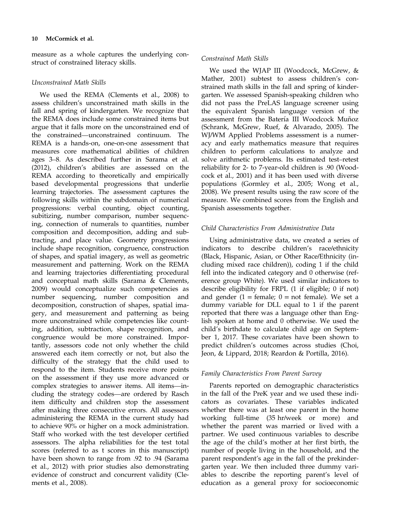measure as a whole captures the underlying construct of constrained literacy skills.

#### Unconstrained Math Skills

We used the REMA (Clements et al., 2008) to assess children's unconstrained math skills in the fall and spring of kindergarten. We recognize that the REMA does include some constrained items but argue that it falls more on the unconstrained end of the constrained—unconstrained continuum. The REMA is a hands-on, one-on-one assessment that measures core mathematical abilities of children ages 3–8. As described further in Sarama et al. (2012), children's abilities are assessed on the REMA according to theoretically and empirically based developmental progressions that underlie learning trajectories. The assessment captures the following skills within the subdomain of numerical progressions: verbal counting, object counting, subitizing, number comparison, number sequencing, connection of numerals to quantities, number composition and decomposition, adding and subtracting, and place value. Geometry progressions include shape recognition, congruence, construction of shapes, and spatial imagery, as well as geometric measurement and patterning. Work on the REMA and learning trajectories differentiating procedural and conceptual math skills (Sarama & Clements, 2009) would conceptualize such competencies as number sequencing, number composition and decomposition, construction of shapes, spatial imagery, and measurement and patterning as being more unconstrained while competencies like counting, addition, subtraction, shape recognition, and congruence would be more constrained. Importantly, assessors code not only whether the child answered each item correctly or not, but also the difficulty of the strategy that the child used to respond to the item. Students receive more points on the assessment if they use more advanced or complex strategies to answer items. All items—including the strategy codes—are ordered by Rasch item difficulty and children stop the assessment after making three consecutive errors. All assessors administering the REMA in the current study had to achieve 90% or higher on a mock administration. Staff who worked with the test developer certified assessors. The alpha reliabilities for the test total scores (referred to as t scores in this manuscript) have been shown to range from .92 to .94 (Sarama et al., 2012) with prior studies also demonstrating evidence of construct and concurrent validity (Clements et al., 2008).

#### Constrained Math Skills

We used the WJAP III (Woodcock, McGrew, & Mather, 2001) subtest to assess children's constrained math skills in the fall and spring of kindergarten. We assessed Spanish-speaking children who did not pass the PreLAS language screener using the equivalent Spanish language version of the assessment from the Batería III Woodcock Muñoz (Schrank, McGrew, Ruef, & Alvarado, 2005). The WJ/WM Applied Problems assessment is a numeracy and early mathematics measure that requires children to perform calculations to analyze and solve arithmetic problems. Its estimated test–retest reliability for 2- to 7-year-old children is .90 (Woodcock et al., 2001) and it has been used with diverse populations (Gormley et al., 2005; Wong et al., 2008). We present results using the raw score of the measure. We combined scores from the English and Spanish assessments together.

### Child Characteristics From Administrative Data

Using administrative data, we created a series of indicators to describe children's race/ethnicity (Black, Hispanic, Asian, or Other Race/Ethnicity (including mixed race children)), coding 1 if the child fell into the indicated category and 0 otherwise (reference group White). We used similar indicators to describe eligibility for FRPL (1 if eligible; 0 if not) and gender  $(1 = \text{female})$ ;  $0 = \text{not female}$ ). We set a dummy variable for DLL equal to 1 if the parent reported that there was a language other than English spoken at home and 0 otherwise. We used the child's birthdate to calculate child age on September 1, 2017. These covariates have been shown to predict children's outcomes across studies (Choi, Jeon, & Lippard, 2018; Reardon & Portilla, 2016).

### Family Characteristics From Parent Survey

Parents reported on demographic characteristics in the fall of the PreK year and we used these indicators as covariates. These variables indicated whether there was at least one parent in the home working full-time (35 hr/week or more) and whether the parent was married or lived with a partner. We used continuous variables to describe the age of the child's mother at her first birth, the number of people living in the household, and the parent respondent's age in the fall of the prekindergarten year. We then included three dummy variables to describe the reporting parent's level of education as a general proxy for socioeconomic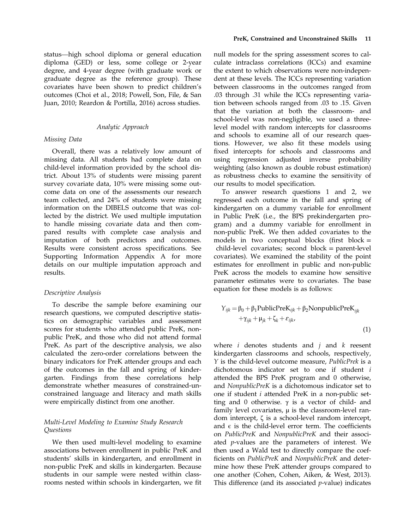status—high school diploma or general education diploma (GED) or less, some college or 2-year degree, and 4-year degree (with graduate work or graduate degree as the reference group). These covariates have been shown to predict children's outcomes (Choi et al., 2018; Powell, Son, File, & San Juan, 2010; Reardon & Portilla, 2016) across studies.

#### Analytic Approach

#### Missing Data

Overall, there was a relatively low amount of missing data. All students had complete data on child-level information provided by the school district. About 13% of students were missing parent survey covariate data, 10% were missing some outcome data on one of the assessments our research team collected, and 24% of students were missing information on the DIBELS outcome that was collected by the district. We used multiple imputation to handle missing covariate data and then compared results with complete case analysis and imputation of both predictors and outcomes. Results were consistent across specifications. See Supporting Information Appendix A for more details on our multiple imputation approach and results.

#### Descriptive Analysis

To describe the sample before examining our research questions, we computed descriptive statistics on demographic variables and assessment scores for students who attended public PreK, nonpublic PreK, and those who did not attend formal PreK. As part of the descriptive analysis, we also calculated the zero-order correlations between the binary indicators for PreK attender groups and each of the outcomes in the fall and spring of kindergarten. Findings from these correlations help demonstrate whether measures of constrained-unconstrained language and literacy and math skills were empirically distinct from one another.

### Multi-Level Modeling to Examine Study Research **Ouestions**

We then used multi-level modeling to examine associations between enrollment in public PreK and students' skills in kindergarten, and enrollment in non-public PreK and skills in kindergarten. Because students in our sample were nested within classrooms nested within schools in kindergarten, we fit

null models for the spring assessment scores to calculate intraclass correlations (ICCs) and examine the extent to which observations were non-independent at these levels. The ICCs representing variation between classrooms in the outcomes ranged from .03 through .31 while the ICCs representing variation between schools ranged from .03 to .15. Given that the variation at both the classroom- and school-level was non-negligible, we used a threelevel model with random intercepts for classrooms and schools to examine all of our research questions. However, we also fit these models using fixed intercepts for schools and classrooms and using regression adjusted inverse probability weighting (also known as double robust estimation) as robustness checks to examine the sensitivity of our results to model specification.

To answer research questions 1 and 2, we regressed each outcome in the fall and spring of kindergarten on a dummy variable for enrollment in Public PreK (i.e., the BPS prekindergarten program) and a dummy variable for enrollment in non-public PreK. We then added covariates to the models in two conceptual blocks (first block = child-level covariates; second block = parent-level covariates). We examined the stability of the point estimates for enrollment in public and non-public PreK across the models to examine how sensitive parameter estimates were to covariates. The base equation for these models is as follows:

$$
Y_{ijk} = \beta_0 + \beta_1 \text{PublicPreK}_{ijk} + \beta_2 \text{NonpublicPreK}_{ijk} + \gamma_{ijk} + \mu_{jk} + \zeta_k + \varepsilon_{ijk},
$$
\n(1)

where  $i$  denotes students and  $j$  and  $k$  reesent kindergarten classrooms and schools, respectively, Y is the child-level outcome measure, PublicPrek is a dichotomous indicator set to one if student i attended the BPS PreK program and 0 otherwise, and NonpublicPreK is a dichotomous indicator set to one if student i attended PreK in a non-public setting and 0 otherwise.  $γ$  is a vector of child- and family level covariates,  $\mu$  is the classroom-level random intercept, ζ is a school-level random intercept, and  $\epsilon$  is the child-level error term. The coefficients on PublicPreK and NonpublicPreK and their associated  $p$ -values are the parameters of interest. We then used a Wald test to directly compare the coefficients on PublicPreK and NonpublicPreK and determine how these PreK attender groups compared to one another (Cohen, Cohen, Aiken, & West, 2013). This difference (and its associated  $p$ -value) indicates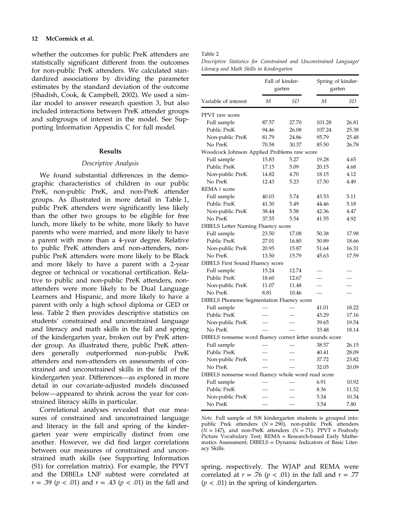#### 12 McCormick et al.

whether the outcomes for public PreK attenders are statistically significant different from the outcomes for non-public PreK attenders. We calculated standardized associations by dividing the parameter estimates by the standard deviation of the outcome (Shadish, Cook, & Campbell, 2002). We used a similar model to answer research question 3, but also included interactions between PreK attender groups and subgroups of interest in the model. See Supporting Information Appendix C for full model.

#### Results

#### Descriptive Analysis

We found substantial differences in the demographic characteristics of children in our public PreK, non-public PreK, and non-PreK attender groups. As illustrated in more detail in Table 1, public PreK attenders were significantly less likely than the other two groups to be eligible for free lunch, more likely to be white, more likely to have parents who were married, and more likely to have a parent with more than a 4-year degree. Relative to public PreK attenders and non-attenders, nonpublic PreK attenders were more likely to be Black and more likely to have a parent with a 2-year degree or technical or vocational certification. Relative to public and non-public PreK attenders, nonattenders were more likely to be Dual Language Learners and Hispanic, and more likely to have a parent with only a high school diploma or GED or less. Table 2 then provides descriptive statistics on students' constrained and unconstrained language and literacy and math skills in the fall and spring of the kindergarten year, broken out by PreK attender group. As illustrated there, public PreK attenders generally outperformed non-public PreK attenders and non-attenders on assessments of constrained and unconstrained skills in the fall of the kindergarten year. Differences—as explored in more detail in our covariate-adjusted models discussed below—appeared to shrink across the year for constrained literacy skills in particular.

Correlational analyses revealed that our measures of constrained and unconstrained language and literacy in the fall and spring of the kindergarten year were empirically distinct from one another. However, we did find larger correlations between our measures of constrained and unconstrained math skills (see Supporting Information (S1) for correlation matrix). For example, the PPVT and the DIBELs LNF subtest were correlated at  $r = .39$  ( $p < .01$ ) and  $r = .43$  ( $p < .01$ ) in the fall and

#### Table 2

Descriptive Statistics for Constrained and Unconstrained Language/ Literacy and Math Skills in Kindergarten

|                                                          |       | Fall of kinder-<br>garten | Spring of kinder-<br>garten |       |
|----------------------------------------------------------|-------|---------------------------|-----------------------------|-------|
| Variable of interest                                     | M     | SD                        | $\boldsymbol{M}$            | SD    |
| PPVT raw score                                           |       |                           |                             |       |
| Full sample                                              | 87.57 | 27.70                     | 101.28                      | 26.81 |
| Public PreK                                              | 94.46 | 26.08                     | 107.24                      | 25.38 |
| Non-public PreK                                          | 81.79 | 24.86                     | 95.79                       | 25.48 |
| No PreK                                                  | 70.58 | 30.37                     | 85.50                       | 26.78 |
| Woodcock Johnson Applied Problems raw score              |       |                           |                             |       |
| Full sample                                              | 15.83 | 5.27                      | 19.28                       | 4.65  |
| Public PreK                                              | 17.15 | 5.09                      | 20.15                       | 4.68  |
| Non-public PreK                                          | 14.82 | 4.70                      | 18.15                       | 4.12  |
| No PreK                                                  | 12.43 | 5.23                      | 17.50                       | 4.49  |
| REMA t score                                             |       |                           |                             |       |
| Full sample                                              | 40.03 | 5.74                      | 43.53                       | 5.11  |
| Public PreK                                              | 41.30 | 5.49                      | 44.46                       | 5.18  |
| Non-public PreK                                          | 38.44 | 5.58                      | 42.36                       | 4.47  |
| No PreK                                                  | 37.55 | 5.54                      | 41.55                       | 4.92  |
| <b>DIBELS Letter Naming Fluency score</b>                |       |                           |                             |       |
| Full sample                                              | 23.50 | 17.08                     | 50.38                       | 17.98 |
| Public PreK                                              | 27.01 | 16.80                     | 50.89                       | 18.66 |
| Non-public PreK                                          | 20.95 | 15.87                     | 51.64                       | 16.31 |
| No PreK                                                  | 13.50 | 15.79                     | 45.63                       | 17.59 |
| <b>DIBELS First Sound Fluency score</b>                  |       |                           |                             |       |
| Full sample                                              | 15.24 | 12.74                     |                             |       |
| Public PreK                                              | 18.60 | 12.67                     |                             |       |
| Non-public PreK                                          | 11.07 | 11.48                     |                             |       |
| No PreK                                                  | 8.81  | 10.46                     |                             |       |
| <b>DIBELS</b> Phoneme Segmentation Fluency score         |       |                           |                             |       |
| Full sample                                              |       |                           | 41.01                       | 18.22 |
| Public PreK                                              |       |                           | 43.29                       | 17.16 |
| Non-public PreK                                          |       |                           | 39.65                       | 19.54 |
| No PreK                                                  |       |                           | 33.48                       | 18.14 |
| DIBELS nonsense word fluency correct letter sounds score |       |                           |                             |       |
| Full sample                                              |       |                           | 38.57                       | 26.15 |
| Public PreK                                              |       |                           | 40.41                       | 28.09 |
| Non-public PreK                                          |       |                           | 37.72                       | 23.82 |
| No PreK                                                  |       |                           | 32.05                       | 20.09 |
| DIBELS nonsense word fluency whole word read score       |       |                           |                             |       |
| Full sample                                              |       |                           | 6.91                        | 10.92 |
| Public PreK                                              |       |                           | 8.36                        | 11.52 |
| Non-public PreK                                          |       |                           | 5.34                        | 10.34 |
| No PreK                                                  |       |                           | 3.54                        | 7.80  |

Note. Full sample of 508 kindergarten students is grouped into: public Prek attenders  $(N = 290)$ , non-public PreK attenders  $(N = 147)$ , and non-PreK attenders  $(N = 71)$ . PPVT = Peabody Picture Vocabulary Test; REMA = Research-based Early Mathematics Assessment; DIBELS = Dynamic Indicators of Basic Literacy Skills.

spring, respectively. The WJAP and REMA were correlated at  $r = .76$  ( $p < .01$ ) in the fall and  $r = .77$  $(p < .01)$  in the spring of kindergarten.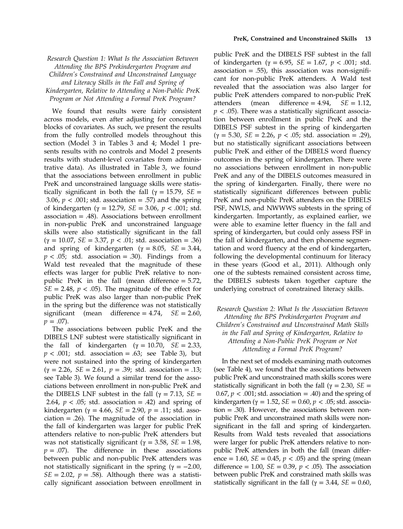### Research Question 1: What Is the Association Between Attending the BPS Prekindergarten Program and Children's Constrained and Unconstrained Language and Literacy Skills in the Fall and Spring of Kindergarten, Relative to Attending a Non-Public PreK Program or Not Attending a Formal PreK Program?

We found that results were fairly consistent across models, even after adjusting for conceptual blocks of covariates. As such, we present the results from the fully controlled models throughout this section (Model 3 in Tables 3 and 4; Model 1 presents results with no controls and Model 2 presents results with student-level covariates from administrative data). As illustrated in Table 3, we found that the associations between enrollment in public PreK and unconstrained language skills were statistically significant in both the fall ( $\gamma = 15.79$ ,  $SE =$ 3.06,  $p < .001$ ; std. association = .57) and the spring of kindergarten (γ = 12.79, *SE* = 3.06, *p* < .001; std. association = .48). Associations between enrollment in non-public PreK and unconstrained language skills were also statistically significant in the fall ( $\gamma = 10.07$ ,  $SE = 3.37$ ,  $p < .01$ ; std. association = .36) and spring of kindergarten ( $\gamma = 8.05$ ,  $SE = 3.44$ ,  $p < .05$ ; std. association = .30). Findings from a Wald test revealed that the magnitude of these effects was larger for public PreK relative to nonpublic PreK in the fall (mean difference = 5.72,  $SE = 2.48$ ,  $p < .05$ ). The magnitude of the effect for public PreK was also larger than non-public PreK in the spring but the difference was not statistically significant (mean difference  $= 4.74$ ,  $SE = 2.60$ ,  $p = .07$ ).

The associations between public PreK and the DIBELS LNF subtest were statistically significant in the fall of kindergarten (γ = 10.70,  $SE = 2.33$ ,  $p < .001$ ; std. association = .63; see Table 3), but were not sustained into the spring of kindergarten (γ = 2.26, SE = 2.61, p = .39; std. association = .13; see Table 3). We found a similar trend for the associations between enrollment in non-public PreK and the DIBELS LNF subtest in the fall ( $γ = 7.13$ ,  $SE =$ 2.64,  $p < .05$ ; std. association = .42) and spring of kindergarten (γ = 4.66, *SE* = 2.90, *p* = .11; std. asso $ciation = .26$ ). The magnitude of the association in the fall of kindergarten was larger for public PreK attenders relative to non-public PreK attenders but was not statistically significant ( $\gamma = 3.58$ ,  $SE = 1.98$ ,  $p = .07$ ). The difference in these associations between public and non-public PreK attenders was not statistically significant in the spring ( $γ = -2.00$ ,  $SE = 2.02$ ,  $p = .58$ ). Although there was a statistically significant association between enrollment in

public PreK and the DIBELS FSF subtest in the fall of kindergarten ( $\gamma = 6.95$ ,  $SE = 1.67$ ,  $p < .001$ ; std. association  $= .55$ ), this association was non-significant for non-public PreK attenders. A Wald test revealed that the association was also larger for public PreK attenders compared to non-public PreK attenders (mean difference  $= 4.94$ ,  $SE = 1.12$ ,  $p < .05$ ). There was a statistically significant association between enrollment in public PreK and the DIBELS PSF subtest in the spring of kindergarten (γ = 5.30, SE = 2.26, p < .05; std. association = .29), but no statistically significant associations between public PreK and either of the DIBELS word fluency outcomes in the spring of kindergarten. There were no associations between enrollment in non-public PreK and any of the DIBELS outcomes measured in the spring of kindergarten. Finally, there were no statistically significant differences between public PreK and non-public PreK attenders on the DIBELS PSF, NWLS, and NWWWS subtests in the spring of kindergarten. Importantly, as explained earlier, we were able to examine letter fluency in the fall and spring of kindergarten, but could only assess FSF in the fall of kindergarten, and then phoneme segmentation and word fluency at the end of kindergarten, following the developmental continuum for literacy in these years (Good et al., 2011). Although only one of the subtests remained consistent across time, the DIBELS subtests taken together capture the underlying construct of constrained literacy skills.

### Research Question 2: What Is the Association Between Attending the BPS Prekindergarten Program and Children's Constrained and Unconstrained Math Skills in the Fall and Spring of Kindergarten, Relative to Attending a Non-Public PreK Program or Not Attending a Formal PreK Program?

In the next set of models examining math outcomes (see Table 4), we found that the associations between public PreK and unconstrained math skills scores were statistically significant in both the fall ( $\gamma = 2.30$ ,  $SE =$  $0.67, p < .001$ ; std. association = .40) and the spring of kindergarten ( $\gamma = 1.52$ ,  $SE = 0.60$ ,  $p < .05$ ; std. association = .30). However, the associations between nonpublic PreK and unconstrained math skills were nonsignificant in the fall and spring of kindergarten. Results from Wald tests revealed that associations were larger for public PreK attenders relative to nonpublic PreK attenders in both the fall (mean difference = 1.60,  $SE = 0.45$ ,  $p < .05$ ) and the spring (mean difference = 1.00,  $SE = 0.39$ ,  $p < .05$ ). The association between public PreK and constrained math skills was statistically significant in the fall ( $\gamma = 3.44$ ,  $SE = 0.60$ ,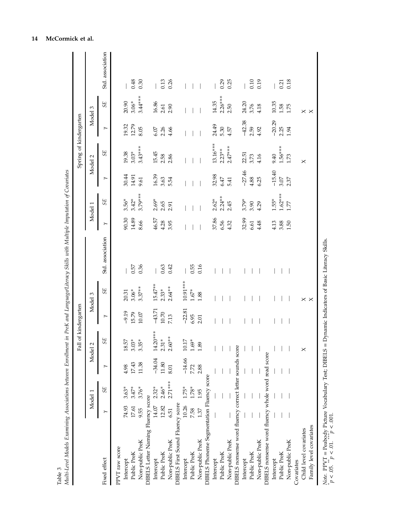|                                                          |       |           |          | Fall of kindergarten |          |                   |                  |         |           |          | Spring of kindergarten |                |                   |                  |
|----------------------------------------------------------|-------|-----------|----------|----------------------|----------|-------------------|------------------|---------|-----------|----------|------------------------|----------------|-------------------|------------------|
|                                                          |       | Model 1   | Mod      | $\sim$<br>ಕ          |          | Model 3           |                  |         | Model 1   |          | Model 2                |                | Model 3           |                  |
| Fixed effect                                             |       | 5E        |          | 5E                   | ≻        | 5E                | Std. association | $\succ$ | 5E        | $\succ$  | 5E                     | $\succ$        | 55                | Std. association |
| PPVT raw score                                           |       |           |          |                      |          |                   |                  |         |           |          |                        |                |                   |                  |
| Intercept                                                | 74.93 | $3.63*$   | 4.98     | 18.57                | $-9.19$  | 20.31             |                  | 90.30   | $3.56*$   | 30.44    | 19.38                  |                | 20.90             |                  |
| Public PreK                                              | 17.61 | $3.47*$   | 17.43    | $3.03*$              | 15.79    | $3.06*$           | 0.57             | 14.89   | $3.42*$   | 14.91    | $3.03*$                | 19.32<br>12.79 | $3.06*$           | 0.48             |
| Non-public PreK                                          | 9.55  | $3.76*$   | 11.38    | $3.35*$              | 10.07    | $3.37**$          | 0.36             | 8.66    | 3.79***   | 9.61     | $3.43***$              | 8.05           | $3.44***$         | 0.30             |
| DIBELS Letter Naming Fluency score                       |       |           |          |                      |          |                   |                  |         |           |          |                        |                |                   |                  |
| Intercept                                                | 14.07 | $2.32*$   | $-34.04$ | $14.20***$           | $-43.71$ | $15.47***$        |                  | 46.57   | $2.69*$   | 16.39    | 15.45                  | 6.07           | 16.86             |                  |
| Public PreK                                              | 12.82 | $2.46*$   | 11.80    | $2.31*$              | 10.70    | $2.33*$           | 0.63             | 4.28    | 2.65      | 3.63     | 2.58                   | 2.26           | 2.61              | 0.13             |
| Non-public PreK                                          | 6.51  | $2.71***$ | 8.01     | $2.60***$            | 7.13     | $2.64***$         | 0.42             | 3.95    | 2.91      | 5.54     | 2.86                   | 4.66           | 2.90              | 0.26             |
| DIBELS First Sound Fluency score                         |       |           |          |                      |          |                   |                  |         |           |          |                        |                |                   |                  |
| Intercept                                                | 10.26 | $1.75*$   | $-14.66$ | 10.17                | $-22.81$ | 10.91 ***         |                  |         |           |          |                        |                |                   |                  |
| Public PreK                                              | 7.58  | 1.78*     | 7.72     | $1.69^{\ast}$        | 6.95     | $1.67^{\ast}$     | 0.55             |         |           |          |                        |                |                   |                  |
| Non-public PreK                                          | 1.37  | 1.95      | 2.88     | 1.89                 | 2.01     | 1.88              | 0.16             |         |           |          |                        |                |                   |                  |
| DIBELS Phoneme Segmentation Fluency score                |       |           |          |                      |          |                   |                  |         |           |          |                        |                |                   |                  |
| Intercept                                                |       |           |          |                      |          |                   |                  | 37.86   | $2.62*$   | 32.98    | $13.16***$             | 24.49          | 14.35             |                  |
| Public PreK                                              |       |           |          |                      |          |                   |                  | 6.56    | $2.24***$ | 6.47     | $2.23**$               | 5.30           | $2.26***$         | 0.29             |
| Non-public PreK                                          |       |           |          |                      |          |                   |                  | 4.32    | 2.45      | 5.41     | $2.47***$              | 4.57           | 2.50              | 0.25             |
| DIBELS nonsense word fluency correct letter sounds score |       |           |          |                      |          |                   |                  |         |           |          |                        |                |                   |                  |
| Intercept                                                |       |           |          |                      |          |                   |                  | 32.99   | $3.79*$   | $-27.46$ | 22.51                  | $-42.38$       | 24.20             |                  |
| Public PreK                                              |       |           |          |                      |          |                   |                  | 6.61    | 3.90      | 4.88     | 3.73                   | 2.59           | 3.76              | 0.10             |
| Non-public PreK                                          |       |           |          |                      |          |                   |                  | 4.48    | 4.29      | 6.25     | 4.16                   | 4.92           | 4.18              | 0.19             |
| DIBELS nonsense word fluency whole word read score       |       |           |          |                      |          |                   |                  |         |           |          |                        |                |                   |                  |
| Intercept                                                |       |           |          |                      |          |                   |                  | 4.13    | $1.55*$   | $-15.40$ | 9.40                   | $-20.29$       | 10.35             |                  |
| Public PreK                                              |       |           |          |                      |          |                   |                  | 3.88    | $1.62***$ | 3.07     | $1.56***$              | 2.25           | 1.58              | 0.21             |
| Non-public PreK                                          |       |           |          |                      |          |                   |                  | 1.50    | 1.77      | 2.37     | $1.73\,$               | 1.94           | 1.75              | 0.18             |
| Covariates                                               |       |           |          |                      |          |                   |                  |         |           |          |                        |                |                   |                  |
| Child level covariates                                   |       |           |          | $\times$             |          | $\times$ $\times$ |                  |         |           |          | $\times$               |                | $\times$ $\times$ |                  |
| Family level covariates                                  |       |           |          |                      |          |                   |                  |         |           |          |                        |                |                   |                  |

Note. PPVT = Peabody Picture Vocabulary Test; DIBELS = Dynamic Indicators of Basic Literacy Skills. \*Note. PPVT = Peabody Picture Vocabulary Test; DIBELS = Dynamic Indicators of Basic Literacy Skills.  $p < .05$ .  $p < .01$ .  $^{\circ}p < .001$ .  $p < 0.05$ .  $p < 0.01$ .  $p < 0.01$ .

## 14 McCormick et al.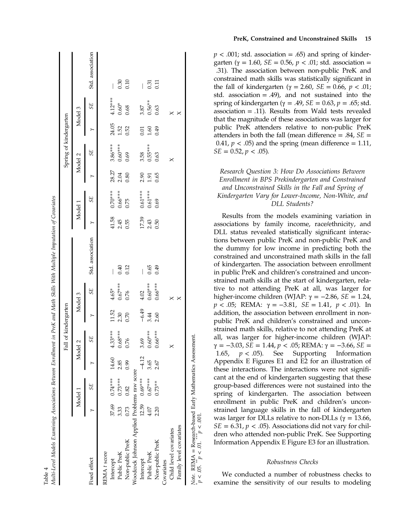|                                             |         |                   |         | Fall of kindergarten |         |           |                          |       |           |       | Spring of kindergarten |       |           |                                       |
|---------------------------------------------|---------|-------------------|---------|----------------------|---------|-----------|--------------------------|-------|-----------|-------|------------------------|-------|-----------|---------------------------------------|
|                                             | Model 1 |                   |         | Model 2              |         | Model 3   |                          |       | Model     |       | Model 2                |       | Model 3   |                                       |
| Fixed effect                                |         | SE                |         | 5E                   |         | 5E        | Std. association         |       | 5E        |       | 5E                     |       | SE        | Std. association                      |
| REMA <sub>t</sub> score                     |         |                   |         |                      |         |           |                          |       |           |       |                        |       |           |                                       |
| Intercept                                   |         | $37.69$ $0.74***$ | 14.60   | $4.33***$            | 11.52   | $4.65*$   | $\overline{\phantom{a}}$ | 41.58 | $0.70***$ | 28.27 | $3.86***$              | 24.05 | $4.12***$ | $\overline{\phantom{a}}$              |
| Public PreK                                 | 3.33    | $0.73***$         | 2.85    | $0.68***$            | 2.30    | $0.67***$ | 0.40                     | 2.45  | $0.66***$ | 2.04  | $0.60***$              | 1.52  | $0.60*$   | 0.30                                  |
| Non-public PreK                             | 0.73    | 0.82              | 0.99    | 0.76                 | 0.70    | 0.76      | 0.12                     | 0.55  | 0.75      | 0.80  | 0.69                   | 0.52  | 0.68      | 0.10                                  |
| Woodcock Johnson Applied Problems raw score |         |                   |         |                      |         |           |                          |       |           |       |                        |       |           |                                       |
| Intercept                                   |         | $12.59$ $0.69***$ | $-4.12$ | 3.69                 | $-6.49$ | 4.02      | I                        | 17.39 | $0.61***$ | 2.90  | 3.58                   | 0.01  | 3.87      | $\begin{array}{c} \hline \end{array}$ |
| Public PreK                                 | 4.07    | $0.67***$         | 3.65    | $0.60***$            | 3.44    | $0.60***$ | 0.65                     | 2.43  | $0.61***$ | 1.91  | $0.55***$              | 1.60  | $0.56***$ | 0.31                                  |
| Non-public PreK                             | 2.20    | $0.73**$          | 2.67    | $0.66***$            | 2.60    | $0.66***$ | 0.49                     | 0.50  | 0.69      | 0.65  | 0.63                   | 64.0  | 0.63      | 0.11                                  |
| Covariates                                  |         |                   |         |                      |         |           |                          |       |           |       |                        |       |           |                                       |
| Child level covariates                      |         |                   |         | $\times$             |         | $\times$  |                          |       |           |       | $\times$               |       | $\times$  |                                       |
| Family level covariates                     |         |                   |         |                      |         | ×         |                          |       |           |       |                        |       | ×         |                                       |

Table 4

 $Note.$  REMA = Research-based Early Mathematics Assessment. REMA = Research-based Early Mathematics Assessment<br>05. \*\*  $p < 0.1$ . \*\*\*  $p < 0.01$ .  $p < 0.05$ .  $\binom{m}{p} < 0.01$ .  $\binom{m}{p} < 0.001$ .  $100^{\circ} > d_*$ Note.<br>  $p < 0$  PreK, Constrained and Unconstrained Skills 15

 $p < .001$ ; std. association = .65) and spring of kindergarten (γ = 1.60, *SE* = 0.56, *p* < .01; std. association = .31). The association between non-public PreK and constrained math skills was statistically signi ficant in the fall of kindergarten (γ = 2.60, *SE* = 0.66, *p* < .01; std. association = .49), and not sustained into the spring of kindergarten ( $\gamma = .49$ ,  $SE = 0.63$ ,  $p = .65$ ; std. association = .11). Results from Wald tests revealed that the magnitude of these associations was larger for public PreK attenders relative to non-public PreK attenders in both the fall (mean difference  $= .84$ ,  $SE =$ 0.41,  $p < .05$ ) and the spring (mean difference = 1.11,  $SE = 0.52, p < .05$ ).

Research Question 3: How Do Associations Between Enrollment in BPS Prekindergarten and Constrained and Unconstrained Skills in the Fall and Spring of Kindergarten Vary for Lower-Income, Non-White, and DLL Students?

Results from the models examining variation in associations by family income, race /ethnicity, and DLL status revealed statistically signi ficant interactions between public PreK and non-public PreK and the dummy for low income in predicting both the constrained and unconstrained math skills in the fall of kindergarten. The association between enrollment in public PreK and children 's constrained and unconstrained math skills at the start of kindergarten, relative to not attending PreK at all, was larger for higher-income children (WJAP: γ = -2.86, *SE* = 1.24,  $p < .05$ ; REMA: γ = -3.81, *SE* = 1.41,  $p < .01$ ). In addition, the association between enrollment in nonpublic PreK and children's constrained and unconstrained math skills, relative to not attending PreK at all, was larger for higher-income children (WJAP:  $\gamma = -3.03$ , SE = 1.44,  $p < .05$ ; REMA:  $\gamma = -3.66$ , SE = 1.65,  $p < .05$ ). See Supporting Information Appendix E Figures E1 and E2 for an illustration of these interactions. The interactions were not significant at the end of kindergarten suggesting that these group-based differences were not sustained into the spring of kindergarten. The association between enrollment in public PreK and children 's unconstrained language skills in the fall of kindergarten was larger for DLLs relative to non-DLLs ( $\gamma = 13.66$ )  $SE = 6.31, p < .05$ ). Associations did not vary for children who attended non-public PreK. See Supporting Information Appendix E Figure E3 for an illustration.

#### Robustness Checks

We conducted a number of robustness checks to examine the sensitivity of our results to modeling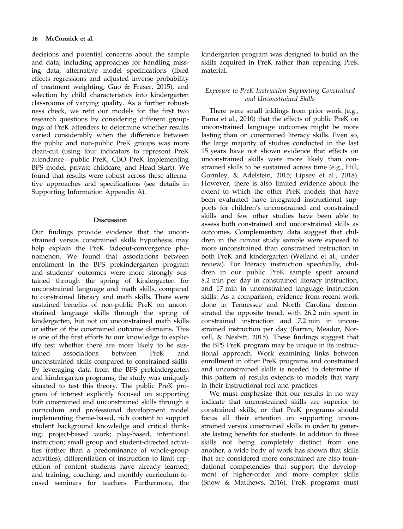decisions and potential concerns about the sample and data, including approaches for handling missing data, alternative model specifications (fixed effects regressions and adjusted inverse probability of treatment weighting, Guo & Fraser, 2015), and selection by child characteristics into kindergarten classrooms of varying quality. As a further robustness check, we refit our models for the first two research questions by considering different groupings of PreK attenders to determine whether results varied considerably when the difference between the public and non-public PreK groups was more clean-cut (using four indicators to represent PreK attendance—public PreK, CBO PreK implementing BPS model, private childcare, and Head Start). We found that results were robust across these alternative approaches and specifications (see details in Supporting Information Appendix A).

### Discussion

Our findings provide evidence that the unconstrained versus constrained skills hypothesis may help explain the PreK fadeout-convergence phenomenon. We found that associations between enrollment in the BPS prekindergarten program and students' outcomes were more strongly sustained through the spring of kindergarten for unconstrained language and math skills, compared to constrained literacy and math skills. There were sustained benefits of non-public PreK on unconstrained language skills through the spring of kindergarten, but not on unconstrained math skills or either of the constrained outcome domains. This is one of the first efforts to our knowledge to explicitly test whether there are more likely to be sustained associations between PreK and unconstrained skills compared to constrained skills. By leveraging data from the BPS prekindergarten and kindergarten programs, the study was uniquely situated to test this theory. The public PreK program of interest explicitly focused on supporting both constrained and unconstrained skills through a curriculum and professional development model implementing theme-based, rich content to support student background knowledge and critical thinking; project-based work; play-based, intentional instruction; small group and student-directed activities (rather than a predominance of whole-group activities); differentiation of instruction to limit repetition of content students have already learned; and training, coaching, and monthly curriculum-focused seminars for teachers. Furthermore, the

kindergarten program was designed to build on the skills acquired in PreK rather than repeating PreK material.

### Exposure to PreK Instruction Supporting Constrained and Unconstrained Skills

There were small inklings from prior work (e.g., Puma et al., 2010) that the effects of public PreK on unconstrained language outcomes might be more lasting than on constrained literacy skills. Even so, the large majority of studies conducted in the last 15 years have not shown evidence that effects on unconstrained skills were more likely than constrained skills to be sustained across time (e.g., Hill, Gormley, & Adelstein, 2015; Lipsey et al., 2018). However, there is also limited evidence about the extent to which the other PreK models that have been evaluated have integrated instructional supports for children's unconstrained and constrained skills and few other studies have been able to assess both constrained and unconstrained skills as outcomes. Complementary data suggest that children in the current study sample were exposed to more unconstrained than constrained instruction in both PreK and kindergarten (Weiland et al., under review). For literacy instruction specifically, children in our public PreK sample spent around 8.2 min per day in constrained literacy instruction, and 17 min in unconstrained language instruction skills. As a comparison, evidence from recent work done in Tennessee and North Carolina demonstrated the opposite trend, with 26.2 min spent in constrained instruction and 7.2 min in unconstrained instruction per day (Farran, Meador, Norvell, & Nesbitt, 2015). These findings suggest that the BPS PreK program may be unique in its instructional approach. Work examining links between enrollment in other PreK programs and constrained and unconstrained skills is needed to determine if this pattern of results extends to models that vary in their instructional foci and practices.

We must emphasize that our results in no way indicate that unconstrained skills are superior to constrained skills, or that PreK programs should focus all their attention on supporting unconstrained versus constrained skills in order to generate lasting benefits for students. In addition to these skills not being completely distinct from one another, a wide body of work has shown that skills that are considered more constrained are also foundational competencies that support the development of higher-order and more complex skills (Snow & Matthews, 2016). PreK programs must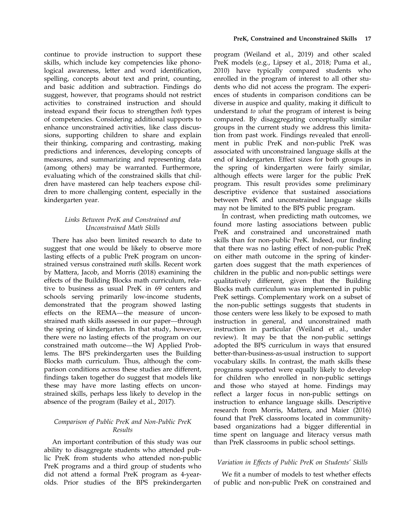continue to provide instruction to support these skills, which include key competencies like phonological awareness, letter and word identification, spelling, concepts about text and print, counting, and basic addition and subtraction. Findings do suggest, however, that programs should not restrict activities to constrained instruction and should instead expand their focus to strengthen both types of competencies. Considering additional supports to enhance unconstrained activities, like class discussions, supporting children to share and explain their thinking, comparing and contrasting, making predictions and inferences, developing concepts of measures, and summarizing and representing data (among others) may be warranted. Furthermore, evaluating which of the constrained skills that children have mastered can help teachers expose children to more challenging content, especially in the

### Links Between PreK and Constrained and Unconstrained Math Skills

kindergarten year.

There has also been limited research to date to suggest that one would be likely to observe more lasting effects of a public PreK program on unconstrained versus constrained math skills. Recent work by Mattera, Jacob, and Morris (2018) examining the effects of the Building Blocks math curriculum, relative to business as usual PreK in 69 centers and schools serving primarily low-income students, demonstrated that the program showed lasting effects on the REMA—the measure of unconstrained math skills assessed in our paper—through the spring of kindergarten. In that study, however, there were no lasting effects of the program on our constrained math outcome—the WJ Applied Problems. The BPS prekindergarten uses the Building Blocks math curriculum. Thus, although the comparison conditions across these studies are different, findings taken together do suggest that models like these may have more lasting effects on unconstrained skills, perhaps less likely to develop in the absence of the program (Bailey et al., 2017).

### Comparison of Public PreK and Non-Public PreK Results

An important contribution of this study was our ability to disaggregate students who attended public PreK from students who attended non-public PreK programs and a third group of students who did not attend a formal PreK program as 4-yearolds. Prior studies of the BPS prekindergarten

program (Weiland et al., 2019) and other scaled PreK models (e.g., Lipsey et al., 2018; Puma et al., 2010) have typically compared students who enrolled in the program of interest to all other students who did not access the program. The experiences of students in comparison conditions can be diverse in auspice and quality, making it difficult to understand to what the program of interest is being compared. By disaggregating conceptually similar groups in the current study we address this limitation from past work. Findings revealed that enrollment in public PreK and non-public PreK was associated with unconstrained language skills at the end of kindergarten. Effect sizes for both groups in the spring of kindergarten were fairly similar, although effects were larger for the public PreK program. This result provides some preliminary descriptive evidence that sustained associations between PreK and unconstrained language skills may not be limited to the BPS public program.

In contrast, when predicting math outcomes, we found more lasting associations between public PreK and constrained and unconstrained math skills than for non-public PreK. Indeed, our finding that there was no lasting effect of non-public PreK on either math outcome in the spring of kindergarten does suggest that the math experiences of children in the public and non-public settings were qualitatively different, given that the Building Blocks math curriculum was implemented in public PreK settings. Complementary work on a subset of the non-public settings suggests that students in those centers were less likely to be exposed to math instruction in general, and unconstrained math instruction in particular (Weiland et al., under review). It may be that the non-public settings adopted the BPS curriculum in ways that ensured better-than-business-as-usual instruction to support vocabulary skills. In contrast, the math skills these programs supported were equally likely to develop for children who enrolled in non-public settings and those who stayed at home. Findings may reflect a larger focus in non-public settings on instruction to enhance language skills. Descriptive research from Morris, Mattera, and Maier (2016) found that PreK classrooms located in communitybased organizations had a bigger differential in time spent on language and literacy versus math than PreK classrooms in public school settings.

### Variation in Effects of Public PreK on Students' Skills

We fit a number of models to test whether effects of public and non-public PreK on constrained and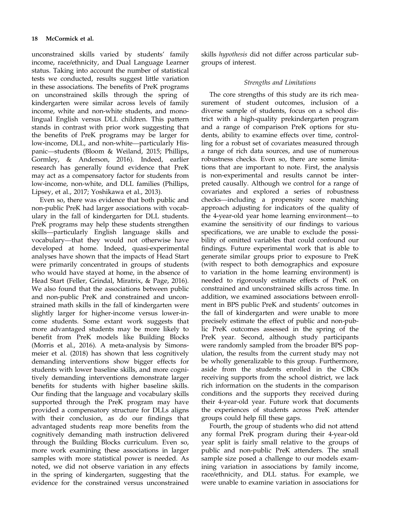unconstrained skills varied by students' family income, race/ethnicity, and Dual Language Learner status. Taking into account the number of statistical tests we conducted, results suggest little variation in these associations. The benefits of PreK programs on unconstrained skills through the spring of kindergarten were similar across levels of family income, white and non-white students, and monolingual English versus DLL children. This pattern stands in contrast with prior work suggesting that the benefits of PreK programs may be larger for low-income, DLL, and non-white—particularly Hispanic—students (Bloom & Weiland, 2015; Phillips, Gormley, & Anderson, 2016). Indeed, earlier research has generally found evidence that PreK may act as a compensatory factor for students from low-income, non-white, and DLL families (Phillips, Lipsey, et al., 2017; Yoshikawa et al., 2013).

Even so, there was evidence that both public and non-public PreK had larger associations with vocabulary in the fall of kindergarten for DLL students. PreK programs may help these students strengthen skills—particularly English language skills and vocabulary—that they would not otherwise have developed at home. Indeed, quasi-experimental analyses have shown that the impacts of Head Start were primarily concentrated in groups of students who would have stayed at home, in the absence of Head Start (Feller, Grindal, Miratrix, & Page, 2016). We also found that the associations between public and non-public PreK and constrained and unconstrained math skills in the fall of kindergarten were slightly larger for higher-income versus lower-income students. Some extant work suggests that more advantaged students may be more likely to benefit from PreK models like Building Blocks (Morris et al., 2016). A meta-analysis by Simonsmeier et al. (2018) has shown that less cognitively demanding interventions show bigger effects for students with lower baseline skills, and more cognitively demanding interventions demonstrate larger benefits for students with higher baseline skills. Our finding that the language and vocabulary skills supported through the PreK program may have provided a compensatory structure for DLLs aligns with their conclusion, as do our findings that advantaged students reap more benefits from the cognitively demanding math instruction delivered through the Building Blocks curriculum. Even so, more work examining these associations in larger samples with more statistical power is needed. As noted, we did not observe variation in any effects in the spring of kindergarten, suggesting that the evidence for the constrained versus unconstrained

skills hypothesis did not differ across particular subgroups of interest.

#### Strengths and Limitations

The core strengths of this study are its rich measurement of student outcomes, inclusion of a diverse sample of students, focus on a school district with a high-quality prekindergarten program and a range of comparison PreK options for students, ability to examine effects over time, controlling for a robust set of covariates measured through a range of rich data sources, and use of numerous robustness checks. Even so, there are some limitations that are important to note. First, the analysis is non-experimental and results cannot be interpreted causally. Although we control for a range of covariates and explored a series of robustness checks—including a propensity score matching approach adjusting for indicators of the quality of the 4-year-old year home learning environment—to examine the sensitivity of our findings to various specifications, we are unable to exclude the possibility of omitted variables that could confound our findings. Future experimental work that is able to generate similar groups prior to exposure to PreK (with respect to both demographics and exposure to variation in the home learning environment) is needed to rigorously estimate effects of PreK on constrained and unconstrained skills across time. In addition, we examined associations between enrollment in BPS public PreK and students' outcomes in the fall of kindergarten and were unable to more precisely estimate the effect of public and non-public PreK outcomes assessed in the spring of the PreK year. Second, although study participants were randomly sampled from the broader BPS population, the results from the current study may not be wholly generalizable to this group. Furthermore, aside from the students enrolled in the CBOs receiving supports from the school district, we lack rich information on the students in the comparison conditions and the supports they received during their 4-year-old year. Future work that documents the experiences of students across PreK attender groups could help fill these gaps.

Fourth, the group of students who did not attend any formal PreK program during their 4-year-old year split is fairly small relative to the groups of public and non-public PreK attenders. The small sample size posed a challenge to our models examining variation in associations by family income, race/ethnicity, and DLL status. For example, we were unable to examine variation in associations for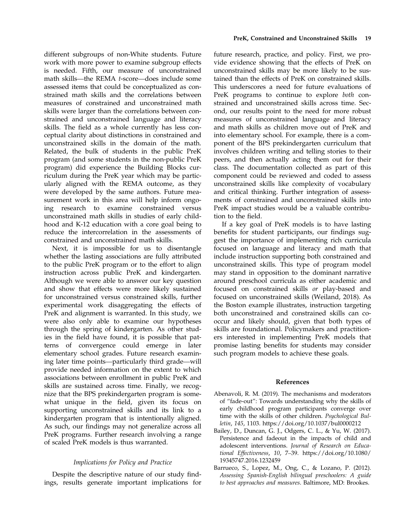different subgroups of non-White students. Future work with more power to examine subgroup effects is needed. Fifth, our measure of unconstrained math skills—the REMA t-score—does include some assessed items that could be conceptualized as constrained math skills and the correlations between measures of constrained and unconstrained math skills were larger than the correlations between constrained and unconstrained language and literacy skills. The field as a whole currently has less conceptual clarity about distinctions in constrained and unconstrained skills in the domain of the math. Related, the bulk of students in the public PreK program (and some students in the non-public PreK program) did experience the Building Blocks curriculum during the PreK year which may be particularly aligned with the REMA outcome, as they were developed by the same authors. Future measurement work in this area will help inform ongoing research to examine constrained versus unconstrained math skills in studies of early childhood and K-12 education with a core goal being to reduce the intercorrelation in the assessments of constrained and unconstrained math skills.

Next, it is impossible for us to disentangle whether the lasting associations are fully attributed to the public PreK program or to the effort to align instruction across public PreK and kindergarten. Although we were able to answer our key question and show that effects were more likely sustained for unconstrained versus constrained skills, further experimental work disaggregating the effects of PreK and alignment is warranted. In this study, we were also only able to examine our hypotheses through the spring of kindergarten. As other studies in the field have found, it is possible that patterns of convergence could emerge in later elementary school grades. Future research examining later time points—particularly third grade—will provide needed information on the extent to which associations between enrollment in public PreK and skills are sustained across time. Finally, we recognize that the BPS prekindergarten program is somewhat unique in the field, given its focus on supporting unconstrained skills and its link to a kindergarten program that is intentionally aligned. As such, our findings may not generalize across all PreK programs. Further research involving a range of scaled PreK models is thus warranted.

#### Implications for Policy and Practice

Despite the descriptive nature of our study findings, results generate important implications for future research, practice, and policy. First, we provide evidence showing that the effects of PreK on unconstrained skills may be more likely to be sustained than the effects of PreK on constrained skills. This underscores a need for future evaluations of PreK programs to continue to explore both constrained and unconstrained skills across time. Second, our results point to the need for more robust measures of unconstrained language and literacy and math skills as children move out of PreK and into elementary school. For example, there is a component of the BPS prekindergarten curriculum that involves children writing and telling stories to their peers, and then actually acting them out for their class. The documentation collected as part of this component could be reviewed and coded to assess unconstrained skills like complexity of vocabulary and critical thinking. Further integration of assessments of constrained and unconstrained skills into PreK impact studies would be a valuable contribution to the field.

If a key goal of PreK models is to have lasting benefits for student participants, our findings suggest the importance of implementing rich curricula focused on language and literacy and math that include instruction supporting both constrained and unconstrained skills. This type of program model may stand in opposition to the dominant narrative around preschool curricula as either academic and focused on constrained skills or play-based and focused on unconstrained skills (Weiland, 2018). As the Boston example illustrates, instruction targeting both unconstrained and constrained skills can cooccur and likely should, given that both types of skills are foundational. Policymakers and practitioners interested in implementing PreK models that promise lasting benefits for students may consider such program models to achieve these goals.

#### References

- Abenavoli, R. M. (2019). The mechanisms and moderators of "fade-out": Towards understanding why the skills of early childhood program participants converge over time with the skills of other children. Psychological Bulletin, 145, 1103.<https://doi.org/10.1037/bul0000212>
- Bailey, D., Duncan, G. J., Odgers, C. L., & Yu, W. (2017). Persistence and fadeout in the impacts of child and adolescent interventions. Journal of Research on Educational Effectiveness, 10, 7–39. [https://doi.org/10.1080/](https://doi.org/10.1080/19345747.2016.1232459) [19345747.2016.1232459](https://doi.org/10.1080/19345747.2016.1232459)
- Barrueco, S., Lopez, M., Ong, C., & Lozano, P. (2012). Assessing Spanish-English bilingual preschoolers: A guide to best approaches and measures. Baltimore, MD: Brookes.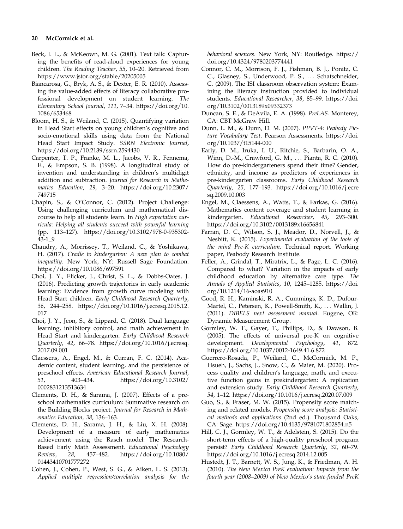#### 20 McCormick et al.

- Beck, I. L., & McKeown, M. G. (2001). Text talk: Capturing the benefits of read-aloud experiences for young children. The Reading Teacher, 55, 10–20. Retrieved from <https://www.jstor.org/stable/20205005>
- Biancarosa, G., Bryk, A. S., & Dexter, E. R. (2010). Assessing the value-added effects of literacy collaborative professional development on student learning. The Elementary School Journal, 111, 7–34. [https://doi.org/10.](https://doi.org/10.1086/653468) [1086/653468](https://doi.org/10.1086/653468)
- Bloom, H. S., & Weiland, C. (2015). Quantifying variation in Head Start effects on young children's cognitive and socio-emotional skills using data from the National Head Start Impact Study. SSRN Electronic Journal, <https://doi.org/10.2139/ssrn.2594430>
- Carpenter, T. P., Franke, M. L., Jacobs, V. R., Fennema, E., & Empson, S. B. (1998). A longitudinal study of invention and understanding in children's multidigit addition and subtraction. Journal for Research in Mathematics Education, 29, 3–20. [https://doi.org/10.2307/](https://doi.org/10.2307/749715) [749715](https://doi.org/10.2307/749715)
- Chapin, S., & O'Connor, C. (2012). Project Challenge: Using challenging curriculum and mathematical discourse to help all students learn. In High expectation curricula: Helping all students succeed with powerful learning (pp. 113–127). [https://doi.org/10.3102/978-0-935302-](https://doi.org/10.3102/978-0-935302-43-1_9) [43-1\\_9](https://doi.org/10.3102/978-0-935302-43-1_9)
- Chaudry, A., Morrissey, T., Weiland, C., & Yoshikawa, H. (2017). Cradle to kindergarten: A new plan to combat inequality. New York, NY: Russell Sage Foundation. <https://doi.org/10.1086/697591>
- Choi, J. Y., Elicker, J., Christ, S. L., & Dobbs-Oates, J. (2016). Predicting growth trajectories in early academic learning: Evidence from growth curve modeling with Head Start children. Early Childhood Research Quarterly, 36, 244–258. [https://doi.org/10.1016/j.ecresq.2015.12.](https://doi.org/10.1016/j.ecresq.2015.12.017) [017](https://doi.org/10.1016/j.ecresq.2015.12.017)
- Choi, J. Y., Jeon, S., & Lippard, C. (2018). Dual language learning, inhibitory control, and math achievement in Head Start and kindergarten. Early Childhood Research Quarterly, 42, 66–78. [https://doi.org/10.1016/j.ecresq.](https://doi.org/10.1016/j.ecresq.2017.09.001) [2017.09.001](https://doi.org/10.1016/j.ecresq.2017.09.001)
- Claessens, A., Engel, M., & Curran, F. C. (2014). Academic content, student learning, and the persistence of preschool effects. American Educational Research Journal,<br>51, 403-434. https://doi.org/10.3102/ 51, 403–434. [https://doi.org/10.3102/](https://doi.org/10.3102/0002831213513634) [0002831213513634](https://doi.org/10.3102/0002831213513634)
- Clements, D. H., & Sarama, J. (2007). Effects of a preschool mathematics curriculum: Summative research on the Building Blocks project. Journal for Research in Mathematics Education, 38, 136–163.
- Clements, D. H., Sarama, J. H., & Liu, X. H. (2008). Development of a measure of early mathematics achievement using the Rasch model: The Research-Based Early Math Assessment. Educational Psychology Review, 28, 457–482. [https://doi.org/10.1080/](https://doi.org/10.1080/01443410701777272) [01443410701777272](https://doi.org/10.1080/01443410701777272)
- Cohen, J., Cohen, P., West, S. G., & Aiken, L. S. (2013). Applied multiple regression/correlation analysis for the

behavioral sciences. New York, NY: Routledge. [https://](https://doi.org/10.4324/9780203774441) [doi.org/10.4324/9780203774441](https://doi.org/10.4324/9780203774441)

- Connor, C. M., Morrison, F. J., Fishman, B. J., Ponitz, C. C., Glasney, S., Underwood, P. S., ... Schatschneider, C. (2009). The ISI classroom observation system: Examining the literacy instruction provided to individual students. Educational Researcher, 38, 85–99. [https://doi.](https://doi.org/10.3102/0013189x09332373) [org/10.3102/0013189x09332373](https://doi.org/10.3102/0013189x09332373)
- Duncan, S. E., & DeAvila, E. A. (1998). PreLAS. Monterey, CA: CBT McGraw Hill.
- Dunn, L. M., & Dunn, D. M. (2007). PPVT-4: Peabody Picture Vocabulary Test. Pearson Assessments. [https://doi.](https://doi.org/10.1037/t15144-000) [org/10.1037/t15144-000](https://doi.org/10.1037/t15144-000)
- Early, D. M., Iruka, I. U., Ritchie, S., Barbarin, O. A., Winn, D.-M., Crawford, G. M., ... Pianta, R. C. (2010). How do pre-kindergarteners spend their time? Gender, ethnicity, and income as predictors of experiences in pre-kindergarten classrooms. Early Childhood Research Quarterly, 25, 177–193. [https://doi.org/10.1016/j.ecre](https://doi.org/10.1016/j.ecresq.2009.10.003) [sq.2009.10.003](https://doi.org/10.1016/j.ecresq.2009.10.003)
- Engel, M., Claessens, A., Watts, T., & Farkas, G. (2016). Mathematics content coverage and student learning in kindergarten. Educational Researcher, 45, 293–300. <https://doi.org/10.3102/0013189x16656841>
- Farran, D. C., Wilson, S. J., Meador, D., Norvell, J., & Nesbitt, K. (2015). Experimental evaluation of the tools of the mind Pre-K curriculum. Technical report. Working paper, Peabody Research Institute.
- Feller, A., Grindal, T., Miratrix, L., & Page, L. C. (2016). Compared to what? Variation in the impacts of early childhood education by alternative care type. The Annals of Applied Statistics, 10, 1245–1285. [https://doi.](https://doi.org/10.1214/16-aoas910) [org/10.1214/16-aoas910](https://doi.org/10.1214/16-aoas910)
- Good, R. H., Kaminski, R. A., Cummings, K. D., Dufour-Martel, C., Petersen, K., Powell-Smith, K., ... Wallin, J. (2011). DIBELS next assessment manual. Eugene, OR: Dynamic Measurement Group.
- Gormley, W. T., Gayer, T., Phillips, D., & Dawson, B. (2005). The effects of universal pre-K on cognitive development. Developmental Psychology, 41, 872. <https://doi.org/10.1037/0012-1649.41.6.872>
- Guerrero-Rosada, P., Weiland, C., McCormick, M. P., Hsueh, J., Sachs, J., Snow, C., & Maier, M. (2020). Process quality and children's language, math, and executive function gains in prekindergarten: A replication and extension study. Early Childhood Research Quarterly, 54, 1–12.<https://doi.org/10.1016/j.ecresq.2020.07.009>
- Guo, S., & Fraser, M. W. (2015). Propensity score matching and related models. Propensity score analysis: Statistical methods and applications (2nd ed.). Thousand Oaks, CA: Sage.<https://doi.org/10.4135/9781071802854.n5>
- Hill, C. J., Gormley, W. T., & Adelstein, S. (2015). Do the short-term effects of a high-quality preschool program persist? Early Childhood Research Quarterly, 32, 60–79. <https://doi.org/10.1016/j.ecresq.2014.12.005>
- Hustedt, J. T., Barnett, W. S., Jung, K., & Friedman, A. H. (2010). The New Mexico PreK evaluation: Impacts from the fourth year (2008–2009) of New Mexico's state-funded PreK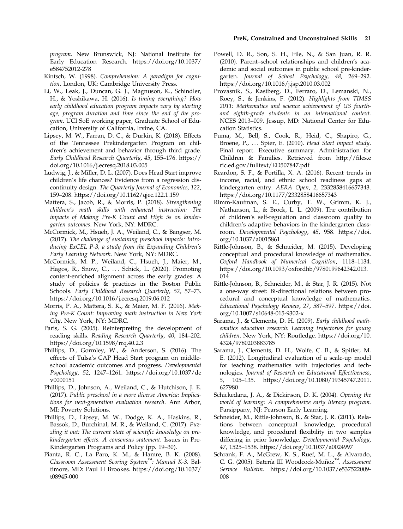program. New Brunswick, NJ: National Institute for Early Education Research. [https://doi.org/10.1037/](https://doi.org/10.1037/e584752012-278) [e584752012-278](https://doi.org/10.1037/e584752012-278)

- Kintsch, W. (1998). Comprehension: A paradigm for cognition. London, UK: Cambridge University Press.
- Li, W., Leak, J., Duncan, G. J., Magnuson, K., Schindler, H., & Yoshikawa, H. (2016). Is timing everything? How early childhood education program impacts vary by starting age, program duration and time since the end of the program. UCI SoE working paper, Graduate School of Education, University of California, Irvine, CA.
- Lipsey, M. W., Farran, D. C., & Durkin, K. (2018). Effects of the Tennessee Prekindergarten Program on children's achievement and behavior through third grade. Early Childhood Research Quarterly, 45, 155–176. [https://](https://doi.org/10.1016/j.ecresq.2018.03.005) [doi.org/10.1016/j.ecresq.2018.03.005](https://doi.org/10.1016/j.ecresq.2018.03.005)
- Ludwig, J., & Miller, D. L. (2007). Does Head Start improve children's life chances? Evidence from a regression discontinuity design. The Quarterly Journal of Economics, 122, 159–208.<https://doi.org/10.1162/qjec.122.1.159>
- Mattera, S., Jacob, R., & Morris, P. (2018). Strengthening children's math skills with enhanced instruction: The impacts of Making Pre-K Count and High 5s on kindergarten outcomes. New York, NY: MDRC.
- McCormick, M., Hsueh, J. A., Weiland, C., & Bangser, M. (2017). The challenge of sustaining preschool impacts: Introducing ExCEL P-3, a study from the Expanding Children's Early Learning Network. New York, NY: MDRC.
- McCormick, M. P., Weiland, C., Hsueh, J., Maier, M., Hagos, R., Snow, C., ... Schick, L. (2020). Promoting content-enriched alignment across the early grades: A study of policies & practices in the Boston Public Schools. Early Childhood Research Quarterly, 52, 57–73. <https://doi.org/10.1016/j.ecresq.2019.06.012>
- Morris, P. A., Mattera, S. K., & Maier, M. F. (2016). Making Pre-K Count: Improving math instruction in New York City. New York, NY: MDRC.
- Paris, S. G. (2005). Reinterpreting the development of reading skills. Reading Research Quarterly, 40, 184–202. <https://doi.org/10.1598/rrq.40.2.3>
- Phillips, D., Gormley, W., & Anderson, S. (2016). The effects of Tulsa's CAP Head Start program on middleschool academic outcomes and progress. Developmental Psychology, 52, 1247–1261. [https://doi.org/10.1037/de](https://doi.org/10.1037/dev0000151) [v0000151](https://doi.org/10.1037/dev0000151)
- Phillips, D., Johnson, A., Weiland, C., & Hutchison, J. E. (2017). Public preschool in a more diverse America: Implications for next-generation evaluation research. Ann Arbor, MI: Poverty Solutions.
- Phillips, D., Lipsey, M. W., Dodge, K. A., Haskins, R., Bassok, D., Burchinal, M. R., & Weiland, C. (2017). Puzzling it out: The current state of scientific knowledge on prekindergarten effects. A consensus statement. Issues in Pre-Kindergarten Programs and Policy (pp. 19–30).
- Pianta, R. C., La Paro, K. M., & Hamre, B. K. (2008). Classroom Assessment Scoring System™: Manual K-3. Baltimore, MD: Paul H Brookes. [https://doi.org/10.1037/](https://doi.org/10.1037/t08945-000) [t08945-000](https://doi.org/10.1037/t08945-000)
- Powell, D. R., Son, S. H., File, N., & San Juan, R. R. (2010). Parent–school relationships and children's academic and social outcomes in public school pre-kindergarten. Journal of School Psychology, 48, 269–292. <https://doi.org/10.1016/j.jsp.2010.03.002>
- Provasnik, S., Kastberg, D., Ferraro, D., Lemanski, N., Roey, S., & Jenkins, F. (2012). Highlights from TIMSS 2011: Mathematics and science achievement of US fourthand eighth-grade students in an international context. NCES 2013–009. Jessup, MD: National Center for Education Statistics.
- Puma, M., Bell, S., Cook, R., Heid, C., Shapiro, G., Broene, P., ... Spier, E. (2010). Head Start impact study. Final report. Executive summary. Administration for Children & Families. Retrieved from [http://](http://files.eric.ed.gov/fulltext/ED507847.pdf://files.eric.ed.gov/fulltext/ED507847.pdf)files.e [ric.ed.gov/fulltext/ED507847.pdf](http://files.eric.ed.gov/fulltext/ED507847.pdf://files.eric.ed.gov/fulltext/ED507847.pdf)
- Reardon, S. F., & Portilla, X. A. (2016). Recent trends in income, racial, and ethnic school readiness gaps at kindergarten entry. AERA Open, 2, 2332858416657343. <https://doi.org/10.1177/2332858416657343>
- Rimm-Kaufman, S. E., Curby, T. W., Grimm, K. J., Nathanson, L., & Brock, L. L. (2009). The contribution of children's self-regulation and classroom quality to children's adaptive behaviors in the kindergarten classroom. Developmental Psychology, 45, 958. [https://doi.](https://doi.org/10.1037/a0015861) [org/10.1037/a0015861](https://doi.org/10.1037/a0015861)
- Rittle-Johnson, B., & Schneider, M. (2015). Developing conceptual and procedural knowledge of mathematics. Oxford Handbook of Numerical Cognition, 1118–1134. [https://doi.org/10.1093/oxfordhb/9780199642342.013.](https://doi.org/10.1093/oxfordhb/9780199642342.013.014) [014](https://doi.org/10.1093/oxfordhb/9780199642342.013.014)
- Rittle-Johnson, B., Schneider, M., & Star, J. R. (2015). Not a one-way street: Bi-directional relations between procedural and conceptual knowledge of mathematics. Educational Psychology Review, 27, 587–597. [https://doi.](https://doi.org/10.1007/s10648-015-9302-x) [org/10.1007/s10648-015-9302-x](https://doi.org/10.1007/s10648-015-9302-x)
- Sarama, J., & Clements, D. H. (2009). Early childhood mathematics education research: Learning trajectories for young children. New York, NY: Routledge. [https://doi.org/10.](https://doi.org/10.4324/9780203883785) [4324/9780203883785](https://doi.org/10.4324/9780203883785)
- Sarama, J., Clements, D. H., Wolfe, C. B., & Spitler, M. E. (2012). Longitudinal evaluation of a scale-up model for teaching mathematics with trajectories and technologies. Journal of Research on Educational Effectiveness, 5, 105–135. [https://doi.org/10.1080/19345747.2011.](https://doi.org/10.1080/19345747.2011.627980) [627980](https://doi.org/10.1080/19345747.2011.627980)
- Schickedanz, J. A., & Dickinson, D. K. (2004). Opening the world of learning: A comprehensive early literacy program. Parsippany, NJ: Pearson Early Learning.
- Schneider, M., Rittle-Johnson, B., & Star, J. R. (2011). Relations between conceptual knowledge, procedural knowledge, and procedural flexibility in two samples differing in prior knowledge. Developmental Psychology, 47, 1525–1538.<https://doi.org/10.1037/a0024997>
- Schrank, F. A., McGrew, K. S., Ruef, M. L., & Alvarado, C. G. (2005). Batería III Woodcock-Muñoz<sup>™</sup>. Assessment Service Bulletin. [https://doi.org/10.1037/e537522009-](https://doi.org/10.1037/e537522009-008) [008](https://doi.org/10.1037/e537522009-008)